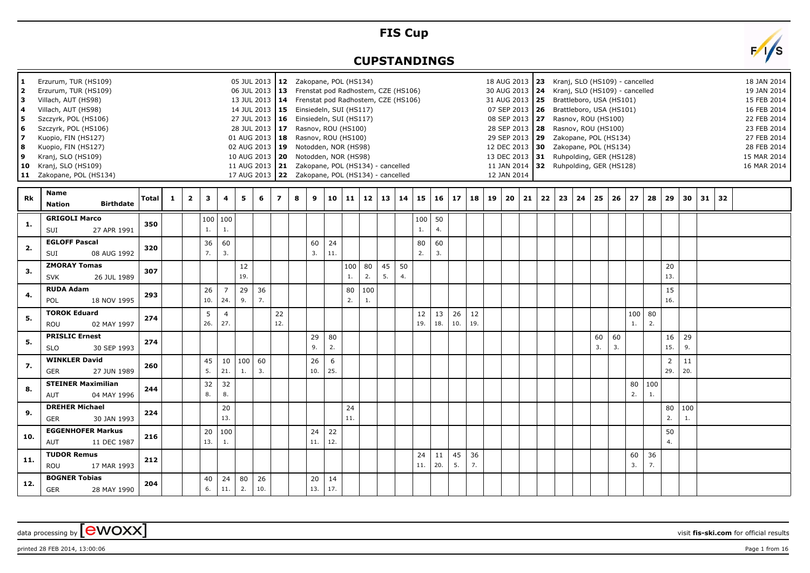### **FIS Cup**

### **CUPSTANDINGS**



printed 28 FEB 2014, 13:00:06 Page 1 from 16

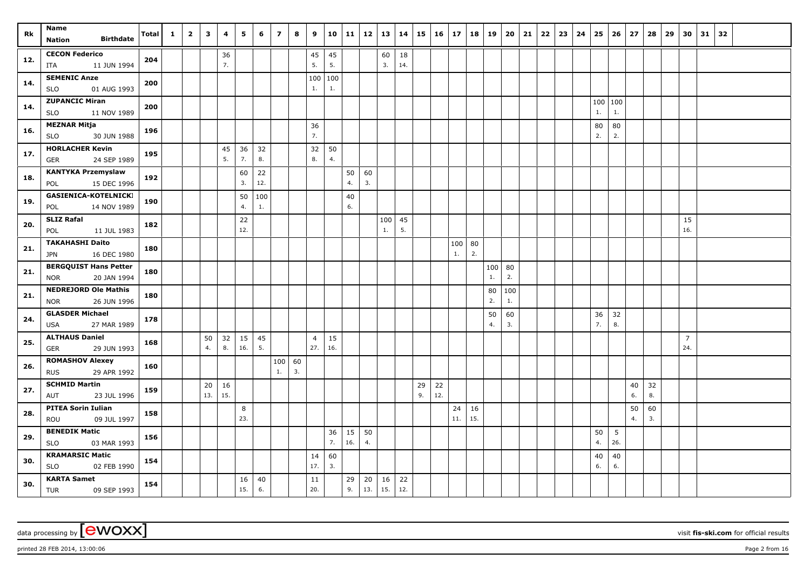| Rk  | Name                                                | Total | $\mathbf{1}$ | $\overline{2}$ | $\overline{\mathbf{3}}$ | 4         | 5        | 6         | $\overline{ }$ | 8        | 9              | 10             | 11       | 12       | 13  | 14  | 15       | 16        | 17  | 18  | 19  | 20  | 21 | 22 | 23 | 24 | 25      | 26         | 27       | 28       | 29 | 30             | 31 | 32 |  |
|-----|-----------------------------------------------------|-------|--------------|----------------|-------------------------|-----------|----------|-----------|----------------|----------|----------------|----------------|----------|----------|-----|-----|----------|-----------|-----|-----|-----|-----|----|----|----|----|---------|------------|----------|----------|----|----------------|----|----|--|
|     | <b>Birthdate</b><br><b>Nation</b>                   |       |              |                |                         |           |          |           |                |          |                |                |          |          |     |     |          |           |     |     |     |     |    |    |    |    |         |            |          |          |    |                |    |    |  |
| 12. | <b>CECON Federico</b>                               | 204   |              |                |                         | 36        |          |           |                |          | 45             | 45             |          |          | 60  | 18  |          |           |     |     |     |     |    |    |    |    |         |            |          |          |    |                |    |    |  |
|     | 11 JUN 1994<br>ITA                                  |       |              |                |                         | 7.        |          |           |                |          | 5.             | 5.             |          |          | 3.  | 14. |          |           |     |     |     |     |    |    |    |    |         |            |          |          |    |                |    |    |  |
| 14. | <b>SEMENIC Anze</b>                                 | 200   |              |                |                         |           |          |           |                |          | 100            | 100            |          |          |     |     |          |           |     |     |     |     |    |    |    |    |         |            |          |          |    |                |    |    |  |
|     | 01 AUG 1993<br><b>SLO</b>                           |       |              |                |                         |           |          |           |                |          | 1.             | $\mathbf{1}$ . |          |          |     |     |          |           |     |     |     |     |    |    |    |    |         |            |          |          |    |                |    |    |  |
| 14. | <b>ZUPANCIC Miran</b>                               | 200   |              |                |                         |           |          |           |                |          |                |                |          |          |     |     |          |           |     |     |     |     |    |    |    |    | 100 100 |            |          |          |    |                |    |    |  |
|     | <b>SLO</b><br>11 NOV 1989                           |       |              |                |                         |           |          |           |                |          |                |                |          |          |     |     |          |           |     |     |     |     |    |    |    |    | 1.      | 1.         |          |          |    |                |    |    |  |
| 16. | <b>MEZNAR Mitja</b>                                 | 196   |              |                |                         |           |          |           |                |          | 36             |                |          |          |     |     |          |           |     |     |     |     |    |    |    |    | 80      | ${\bf 80}$ |          |          |    |                |    |    |  |
|     | 30 JUN 1988<br><b>SLO</b>                           |       |              |                |                         |           |          |           |                |          | 7.             |                |          |          |     |     |          |           |     |     |     |     |    |    |    |    | 2.      | 2.         |          |          |    |                |    |    |  |
| 17. | <b>HORLACHER Kevin</b><br>24 SEP 1989<br><b>GER</b> | 195   |              |                |                         | 45<br>5.  | 36<br>7. | 32<br>8.  |                |          | 32<br>8.       | 50<br>4.       |          |          |     |     |          |           |     |     |     |     |    |    |    |    |         |            |          |          |    |                |    |    |  |
|     | <b>KANTYKA Przemyslaw</b>                           |       |              |                |                         |           |          |           |                |          |                |                |          |          |     |     |          |           |     |     |     |     |    |    |    |    |         |            |          |          |    |                |    |    |  |
| 18. | 15 DEC 1996<br>POL                                  | 192   |              |                |                         |           | 60<br>3. | 22<br>12. |                |          |                |                | 50<br>4. | 60<br>3. |     |     |          |           |     |     |     |     |    |    |    |    |         |            |          |          |    |                |    |    |  |
|     | GASIENICA-KOTELNICKI                                |       |              |                |                         |           | 50       | 100       |                |          |                |                | 40       |          |     |     |          |           |     |     |     |     |    |    |    |    |         |            |          |          |    |                |    |    |  |
| 19. | POL<br>14 NOV 1989                                  | 190   |              |                |                         |           | 4.       | 1.        |                |          |                |                | 6.       |          |     |     |          |           |     |     |     |     |    |    |    |    |         |            |          |          |    |                |    |    |  |
|     | <b>SLIZ Rafal</b>                                   |       |              |                |                         |           | 22       |           |                |          |                |                |          |          | 100 | 45  |          |           |     |     |     |     |    |    |    |    |         |            |          |          |    | 15             |    |    |  |
| 20. | POL<br>11 JUL 1983                                  | 182   |              |                |                         |           | 12.      |           |                |          |                |                |          |          | 1.  | 5.  |          |           |     |     |     |     |    |    |    |    |         |            |          |          |    | 16.            |    |    |  |
|     | <b>TAKAHASHI Daito</b>                              |       |              |                |                         |           |          |           |                |          |                |                |          |          |     |     |          |           | 100 | 80  |     |     |    |    |    |    |         |            |          |          |    |                |    |    |  |
| 21. | <b>JPN</b><br>16 DEC 1980                           | 180   |              |                |                         |           |          |           |                |          |                |                |          |          |     |     |          |           | 1.  | 2.  |     |     |    |    |    |    |         |            |          |          |    |                |    |    |  |
|     | <b>BERGQUIST Hans Petter</b>                        |       |              |                |                         |           |          |           |                |          |                |                |          |          |     |     |          |           |     |     | 100 | 80  |    |    |    |    |         |            |          |          |    |                |    |    |  |
| 21. | <b>NOR</b><br>20 JAN 1994                           | 180   |              |                |                         |           |          |           |                |          |                |                |          |          |     |     |          |           |     |     | 1.  | 2.  |    |    |    |    |         |            |          |          |    |                |    |    |  |
| 21. | <b>NEDREJORD Ole Mathis</b>                         | 180   |              |                |                         |           |          |           |                |          |                |                |          |          |     |     |          |           |     |     | 80  | 100 |    |    |    |    |         |            |          |          |    |                |    |    |  |
|     | <b>NOR</b><br>26 JUN 1996                           |       |              |                |                         |           |          |           |                |          |                |                |          |          |     |     |          |           |     |     | 2.  | 1.  |    |    |    |    |         |            |          |          |    |                |    |    |  |
| 24. | <b>GLASDER Michael</b>                              | 178   |              |                |                         |           |          |           |                |          |                |                |          |          |     |     |          |           |     |     | 50  | 60  |    |    |    |    | 36      | 32         |          |          |    |                |    |    |  |
|     | <b>USA</b><br>27 MAR 1989                           |       |              |                |                         |           |          |           |                |          |                |                |          |          |     |     |          |           |     |     | 4.  | 3.  |    |    |    |    | 7.      | 8.         |          |          |    |                |    |    |  |
| 25. | <b>ALTHAUS Daniel</b>                               | 168   |              |                | 50                      | 32        | 15       | 45        |                |          | $\overline{4}$ | 15             |          |          |     |     |          |           |     |     |     |     |    |    |    |    |         |            |          |          |    | $\overline{7}$ |    |    |  |
|     | 29 JUN 1993<br><b>GER</b>                           |       |              |                | 4.                      | 8.        | 16.      | 5.        |                |          | 27.            | 16.            |          |          |     |     |          |           |     |     |     |     |    |    |    |    |         |            |          |          |    | 24.            |    |    |  |
| 26. | <b>ROMASHOV Alexey</b>                              | 160   |              |                |                         |           |          |           | 100<br>1.      | 60<br>3. |                |                |          |          |     |     |          |           |     |     |     |     |    |    |    |    |         |            |          |          |    |                |    |    |  |
|     | 29 APR 1992<br><b>RUS</b><br><b>SCHMID Martin</b>   |       |              |                |                         |           |          |           |                |          |                |                |          |          |     |     |          |           |     |     |     |     |    |    |    |    |         |            |          |          |    |                |    |    |  |
| 27. | 23 JUL 1996<br>AUT                                  | 159   |              |                | 20<br>13.               | 16<br>15. |          |           |                |          |                |                |          |          |     |     | 29<br>9. | 22<br>12. |     |     |     |     |    |    |    |    |         |            | 40<br>6. | 32<br>8. |    |                |    |    |  |
|     | <b>PITEA Sorin Iulian</b>                           |       |              |                |                         |           | 8        |           |                |          |                |                |          |          |     |     |          |           | 24  | 16  |     |     |    |    |    |    |         |            | 50       | 60       |    |                |    |    |  |
| 28. | 09 JUL 1997<br>ROU                                  | 158   |              |                |                         |           | 23.      |           |                |          |                |                |          |          |     |     |          |           | 11. | 15. |     |     |    |    |    |    |         |            | 4.       | 3.       |    |                |    |    |  |
|     | <b>BENEDIK Matic</b>                                |       |              |                |                         |           |          |           |                |          |                | 36             | 15       | 50       |     |     |          |           |     |     |     |     |    |    |    |    | 50      | 5          |          |          |    |                |    |    |  |
| 29. | <b>SLO</b><br>03 MAR 1993                           | 156   |              |                |                         |           |          |           |                |          |                | 7.             | 16.      | 4.       |     |     |          |           |     |     |     |     |    |    |    |    | 4.      | 26.        |          |          |    |                |    |    |  |
|     | <b>KRAMARSIC Matic</b>                              |       |              |                |                         |           |          |           |                |          | 14             | 60             |          |          |     |     |          |           |     |     |     |     |    |    |    |    | 40      | $40\,$     |          |          |    |                |    |    |  |
| 30. | <b>SLO</b><br>02 FEB 1990                           | 154   |              |                |                         |           |          |           |                |          | 17.            | 3.             |          |          |     |     |          |           |     |     |     |     |    |    |    |    | 6.      | 6.         |          |          |    |                |    |    |  |
|     | <b>KARTA Samet</b>                                  |       |              |                |                         |           | 16       | 40        |                |          | 11             |                | 29       | 20       | 16  | 22  |          |           |     |     |     |     |    |    |    |    |         |            |          |          |    |                |    |    |  |
| 30. | <b>TUR</b><br>09 SEP 1993                           | 154   |              |                |                         |           | 15.      | 6.        |                |          | 20.            |                | 9.       | 13.      | 15. | 12. |          |           |     |     |     |     |    |    |    |    |         |            |          |          |    |                |    |    |  |

printed 28 FEB 2014, 13:00:06 Page 2 from 16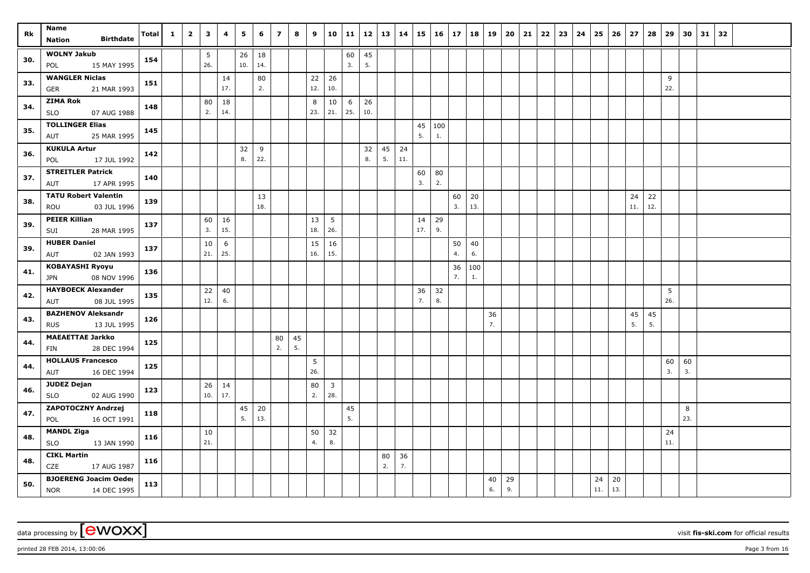| Rk  | Name                                               | <b>Total</b> | $\mathbf{1}$ | $\overline{2}$ | $\overline{\mathbf{3}}$ | 4         | 5        | 6         | $\overline{7}$ | 8  | 9         | 10           | 11       | 12  | 13 | 14  | 15       | <b>16</b> | 17       | 18        | 19       | 20 <sub>1</sub> | 21 | 22 | 23 | 24 | 25  | 26  | 27        | 28        | 29        | 30       | 31 | 32 |  |
|-----|----------------------------------------------------|--------------|--------------|----------------|-------------------------|-----------|----------|-----------|----------------|----|-----------|--------------|----------|-----|----|-----|----------|-----------|----------|-----------|----------|-----------------|----|----|----|----|-----|-----|-----------|-----------|-----------|----------|----|----|--|
|     | <b>Birthdate</b><br><b>Nation</b>                  |              |              |                |                         |           |          |           |                |    |           |              |          |     |    |     |          |           |          |           |          |                 |    |    |    |    |     |     |           |           |           |          |    |    |  |
| 30. | <b>WOLNY Jakub</b>                                 | 154          |              |                | 5                       |           | 26       | 18        |                |    |           |              | 60       | 45  |    |     |          |           |          |           |          |                 |    |    |    |    |     |     |           |           |           |          |    |    |  |
|     | 15 MAY 1995<br>POL                                 |              |              |                | 26.                     |           | 10.      | 14.       |                |    |           |              | 3.       | 5.  |    |     |          |           |          |           |          |                 |    |    |    |    |     |     |           |           |           |          |    |    |  |
| 33. | <b>WANGLER Niclas</b><br>21 MAR 1993<br><b>GER</b> | 151          |              |                |                         | 14<br>17. |          | 80<br>2.  |                |    | 22<br>12. | 26<br>10.    |          |     |    |     |          |           |          |           |          |                 |    |    |    |    |     |     |           |           | 9<br>22.  |          |    |    |  |
|     | <b>ZIMA Rok</b>                                    |              |              |                | 80                      | 18        |          |           |                |    | 8         | 10           | 6        | 26  |    |     |          |           |          |           |          |                 |    |    |    |    |     |     |           |           |           |          |    |    |  |
| 34. | <b>SLO</b><br>07 AUG 1988                          | 148          |              |                | 2.                      | 14.       |          |           |                |    | 23.       | 21.          | 25.      | 10. |    |     |          |           |          |           |          |                 |    |    |    |    |     |     |           |           |           |          |    |    |  |
| 35. | <b>TOLLINGER Elias</b>                             |              |              |                |                         |           |          |           |                |    |           |              |          |     |    |     | 45       | 100       |          |           |          |                 |    |    |    |    |     |     |           |           |           |          |    |    |  |
|     | 25 MAR 1995<br>AUT                                 | 145          |              |                |                         |           |          |           |                |    |           |              |          |     |    |     | 5.       | 1.        |          |           |          |                 |    |    |    |    |     |     |           |           |           |          |    |    |  |
| 36. | <b>KUKULA Artur</b>                                | 142          |              |                |                         |           | 32       | 9         |                |    |           |              |          | 32  | 45 | 24  |          |           |          |           |          |                 |    |    |    |    |     |     |           |           |           |          |    |    |  |
|     | 17 JUL 1992<br>POL                                 |              |              |                |                         |           | 8.       | 22.       |                |    |           |              |          | 8.  | 5. | 11. |          |           |          |           |          |                 |    |    |    |    |     |     |           |           |           |          |    |    |  |
| 37. | <b>STREITLER Patrick</b>                           | 140          |              |                |                         |           |          |           |                |    |           |              |          |     |    |     | 60       | 80        |          |           |          |                 |    |    |    |    |     |     |           |           |           |          |    |    |  |
|     | 17 APR 1995<br>AUT<br><b>TATU Robert Valentin</b>  |              |              |                |                         |           |          |           |                |    |           |              |          |     |    |     | 3.       | 2.        |          |           |          |                 |    |    |    |    |     |     |           |           |           |          |    |    |  |
| 38. | 03 JUL 1996<br>ROU                                 | 139          |              |                |                         |           |          | 13<br>18. |                |    |           |              |          |     |    |     |          |           | 60<br>3. | 20<br>13. |          |                 |    |    |    |    |     |     | 24<br>11. | 22<br>12. |           |          |    |    |  |
|     | <b>PEIER Killian</b>                               |              |              |                | 60                      | 16        |          |           |                |    | 13        | 5            |          |     |    |     | 14       | 29        |          |           |          |                 |    |    |    |    |     |     |           |           |           |          |    |    |  |
| 39. | 28 MAR 1995<br>SUI                                 | 137          |              |                | 3.                      | 15.       |          |           |                |    | 18.       | 26.          |          |     |    |     | 17.      | 9.        |          |           |          |                 |    |    |    |    |     |     |           |           |           |          |    |    |  |
| 39. | <b>HUBER Daniel</b>                                | 137          |              |                | 10                      | 6         |          |           |                |    | 15        | 16           |          |     |    |     |          |           | 50       | 40        |          |                 |    |    |    |    |     |     |           |           |           |          |    |    |  |
|     | 02 JAN 1993<br>AUT                                 |              |              |                | 21.                     | 25.       |          |           |                |    | 16.       | 15.          |          |     |    |     |          |           | 4.       | 6.        |          |                 |    |    |    |    |     |     |           |           |           |          |    |    |  |
| 41. | <b>KOBAYASHI Ryoyu</b>                             | 136          |              |                |                         |           |          |           |                |    |           |              |          |     |    |     |          |           | 36       | 100       |          |                 |    |    |    |    |     |     |           |           |           |          |    |    |  |
|     | 08 NOV 1996<br>JPN                                 |              |              |                |                         |           |          |           |                |    |           |              |          |     |    |     |          |           | 7.       | 1.        |          |                 |    |    |    |    |     |     |           |           |           |          |    |    |  |
| 42. | <b>HAYBOECK Alexander</b>                          | 135          |              |                | 22<br>12.               | 40<br>6.  |          |           |                |    |           |              |          |     |    |     | 36<br>7. | 32<br>8.  |          |           |          |                 |    |    |    |    |     |     |           |           | 5<br>26.  |          |    |    |  |
|     | AUT<br>08 JUL 1995<br><b>BAZHENOV Aleksandr</b>    |              |              |                |                         |           |          |           |                |    |           |              |          |     |    |     |          |           |          |           |          |                 |    |    |    |    |     |     |           |           |           |          |    |    |  |
| 43. | 13 JUL 1995<br><b>RUS</b>                          | 126          |              |                |                         |           |          |           |                |    |           |              |          |     |    |     |          |           |          |           | 36<br>7. |                 |    |    |    |    |     |     | 45<br>5.  | 45<br>5.  |           |          |    |    |  |
|     | <b>MAEAETTAE Jarkko</b>                            |              |              |                |                         |           |          |           | 80             | 45 |           |              |          |     |    |     |          |           |          |           |          |                 |    |    |    |    |     |     |           |           |           |          |    |    |  |
| 44. | 28 DEC 1994<br>FIN                                 | 125          |              |                |                         |           |          |           | 2.             | 5. |           |              |          |     |    |     |          |           |          |           |          |                 |    |    |    |    |     |     |           |           |           |          |    |    |  |
| 44. | <b>HOLLAUS Francesco</b>                           | 125          |              |                |                         |           |          |           |                |    | 5         |              |          |     |    |     |          |           |          |           |          |                 |    |    |    |    |     |     |           |           | 60        | 60       |    |    |  |
|     | 16 DEC 1994<br>AUT                                 |              |              |                |                         |           |          |           |                |    | 26.       |              |          |     |    |     |          |           |          |           |          |                 |    |    |    |    |     |     |           |           | 3.        | 3.       |    |    |  |
| 46. | <b>JUDEZ Dejan</b>                                 | 123          |              |                | 26                      | 14        |          |           |                |    | 80        | $\mathbf{3}$ |          |     |    |     |          |           |          |           |          |                 |    |    |    |    |     |     |           |           |           |          |    |    |  |
|     | 02 AUG 1990<br><b>SLO</b>                          |              |              |                | 10.                     | 17.       |          |           |                |    | 2.        | 28.          |          |     |    |     |          |           |          |           |          |                 |    |    |    |    |     |     |           |           |           |          |    |    |  |
| 47. | ZAPOTOCZNY Andrzej                                 | 118          |              |                |                         |           | 45<br>5. | 20<br>13. |                |    |           |              | 45<br>5. |     |    |     |          |           |          |           |          |                 |    |    |    |    |     |     |           |           |           | 8<br>23. |    |    |  |
|     | 16 OCT 1991<br>POL<br><b>MANDL Ziga</b>            |              |              |                |                         |           |          |           |                |    |           |              |          |     |    |     |          |           |          |           |          |                 |    |    |    |    |     |     |           |           |           |          |    |    |  |
| 48. | <b>SLO</b><br>13 JAN 1990                          | 116          |              |                | 10<br>21.               |           |          |           |                |    | 50<br>4.  | 32<br>8.     |          |     |    |     |          |           |          |           |          |                 |    |    |    |    |     |     |           |           | 24<br>11. |          |    |    |  |
|     | <b>CIKL Martin</b>                                 |              |              |                |                         |           |          |           |                |    |           |              |          |     | 80 | 36  |          |           |          |           |          |                 |    |    |    |    |     |     |           |           |           |          |    |    |  |
| 48. | CZE<br>17 AUG 1987                                 | 116          |              |                |                         |           |          |           |                |    |           |              |          |     | 2. | 7.  |          |           |          |           |          |                 |    |    |    |    |     |     |           |           |           |          |    |    |  |
| 50. | <b>BJOERENG Joacim Oeder</b>                       | 113          |              |                |                         |           |          |           |                |    |           |              |          |     |    |     |          |           |          |           | 40       | 29              |    |    |    |    | 24  | 20  |           |           |           |          |    |    |  |
|     | <b>NOR</b><br>14 DEC 1995                          |              |              |                |                         |           |          |           |                |    |           |              |          |     |    |     |          |           |          |           | 6.       | 9.              |    |    |    |    | 11. | 13. |           |           |           |          |    |    |  |

printed 28 FEB 2014, 13:00:06 Page 3 from 16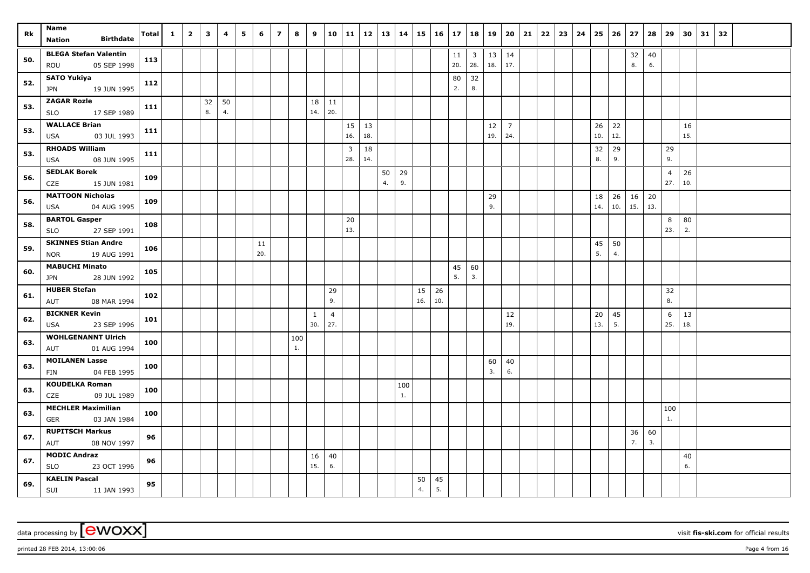| Rk  | Name                                                    |       | $\mathbf{1}$ | $\overline{2}$ | $\overline{\mathbf{3}}$ | 4  | 5 | 6         | $\overline{ }$ | 8   | 9            | 10             | 11        | 12  | 13 | 14  |     | $15 \mid 16$ | 17  | 18  | 19          | $20 \mid 21$   | 22 | 23 | 24 | 25       | 26       | 27  | 28        | 29             | 30       | 31 | 32 |  |
|-----|---------------------------------------------------------|-------|--------------|----------------|-------------------------|----|---|-----------|----------------|-----|--------------|----------------|-----------|-----|----|-----|-----|--------------|-----|-----|-------------|----------------|----|----|----|----------|----------|-----|-----------|----------------|----------|----|----|--|
|     | <b>Birthdate</b><br><b>Nation</b>                       | Total |              |                |                         |    |   |           |                |     |              |                |           |     |    |     |     |              |     |     |             |                |    |    |    |          |          |     |           |                |          |    |    |  |
| 50. | <b>BLEGA Stefan Valentin</b>                            | 113   |              |                |                         |    |   |           |                |     |              |                |           |     |    |     |     |              | 11  |     | $3 \mid 13$ | 14             |    |    |    |          |          | 32  | 40        |                |          |    |    |  |
|     | 05 SEP 1998<br>ROU                                      |       |              |                |                         |    |   |           |                |     |              |                |           |     |    |     |     |              | 20. | 28. | 18.         | 17.            |    |    |    |          |          | 8.  | 6.        |                |          |    |    |  |
| 52. | SATO Yukiya                                             | 112   |              |                |                         |    |   |           |                |     |              |                |           |     |    |     |     |              | 80  | 32  |             |                |    |    |    |          |          |     |           |                |          |    |    |  |
|     | 19 JUN 1995<br><b>JPN</b>                               |       |              |                |                         |    |   |           |                |     |              |                |           |     |    |     |     |              | 2.  | 8.  |             |                |    |    |    |          |          |     |           |                |          |    |    |  |
| 53. | <b>ZAGAR Rozle</b>                                      | 111   |              |                | 32                      | 50 |   |           |                |     | 18           | 11             |           |     |    |     |     |              |     |     |             |                |    |    |    |          |          |     |           |                |          |    |    |  |
|     | <b>SLO</b><br>17 SEP 1989                               |       |              |                | 8.                      | 4. |   |           |                |     | 14.          | 20.            |           |     |    |     |     |              |     |     |             |                |    |    |    |          |          |     |           |                |          |    |    |  |
| 53. | <b>WALLACE Brian</b>                                    | 111   |              |                |                         |    |   |           |                |     |              |                | 15        | 13  |    |     |     |              |     |     | 12          | $\overline{7}$ |    |    |    | 26       | 22       |     |           |                | 16       |    |    |  |
|     | 03 JUL 1993<br><b>USA</b>                               |       |              |                |                         |    |   |           |                |     |              |                | 16.       | 18. |    |     |     |              |     |     | 19.         | 24.            |    |    |    | 10.      | 12.      |     |           |                | 15.      |    |    |  |
| 53. | <b>RHOADS William</b>                                   | 111   |              |                |                         |    |   |           |                |     |              |                | 3         | 18  |    |     |     |              |     |     |             |                |    |    |    | 32       | 29       |     |           | 29             |          |    |    |  |
|     | 08 JUN 1995<br><b>USA</b>                               |       |              |                |                         |    |   |           |                |     |              |                | 28.       | 14. |    |     |     |              |     |     |             |                |    |    |    | 8.       | 9.       |     |           | 9.             |          |    |    |  |
| 56. | <b>SEDLAK Borek</b>                                     | 109   |              |                |                         |    |   |           |                |     |              |                |           |     | 50 | 29  |     |              |     |     |             |                |    |    |    |          |          |     |           | $\overline{4}$ | 26       |    |    |  |
|     | 15 JUN 1981<br>CZE                                      |       |              |                |                         |    |   |           |                |     |              |                |           |     | 4. | 9.  |     |              |     |     |             |                |    |    |    |          |          |     |           | 27.            | 10.      |    |    |  |
| 56. | <b>MATTOON Nicholas</b>                                 | 109   |              |                |                         |    |   |           |                |     |              |                |           |     |    |     |     |              |     |     | 29<br>9.    |                |    |    |    | 18       | 26       | 16  | 20<br>13. |                |          |    |    |  |
|     | 04 AUG 1995<br>USA                                      |       |              |                |                         |    |   |           |                |     |              |                |           |     |    |     |     |              |     |     |             |                |    |    |    | 14.      | 10.      | 15. |           |                |          |    |    |  |
| 58. | <b>BARTOL Gasper</b><br>27 SEP 1991                     | 108   |              |                |                         |    |   |           |                |     |              |                | 20<br>13. |     |    |     |     |              |     |     |             |                |    |    |    |          |          |     |           | 8<br>23.       | 80<br>2. |    |    |  |
|     | <b>SLO</b>                                              |       |              |                |                         |    |   |           |                |     |              |                |           |     |    |     |     |              |     |     |             |                |    |    |    |          |          |     |           |                |          |    |    |  |
| 59. | <b>SKINNES Stian Andre</b><br><b>NOR</b><br>19 AUG 1991 | 106   |              |                |                         |    |   | 11<br>20. |                |     |              |                |           |     |    |     |     |              |     |     |             |                |    |    |    | 45<br>5. | 50<br>4. |     |           |                |          |    |    |  |
|     | <b>MABUCHI Minato</b>                                   |       |              |                |                         |    |   |           |                |     |              |                |           |     |    |     |     |              | 45  | 60  |             |                |    |    |    |          |          |     |           |                |          |    |    |  |
| 60. | <b>JPN</b><br>28 JUN 1992                               | 105   |              |                |                         |    |   |           |                |     |              |                |           |     |    |     |     |              | 5.  | 3.  |             |                |    |    |    |          |          |     |           |                |          |    |    |  |
|     | <b>HUBER Stefan</b>                                     |       |              |                |                         |    |   |           |                |     |              | 29             |           |     |    |     | 15  | 26           |     |     |             |                |    |    |    |          |          |     |           | 32             |          |    |    |  |
| 61. | AUT<br>08 MAR 1994                                      | 102   |              |                |                         |    |   |           |                |     |              | 9.             |           |     |    |     | 16. | 10.          |     |     |             |                |    |    |    |          |          |     |           | 8.             |          |    |    |  |
|     | <b>BICKNER Kevin</b>                                    |       |              |                |                         |    |   |           |                |     | $\mathbf{1}$ | $\overline{4}$ |           |     |    |     |     |              |     |     |             | 12             |    |    |    | 20       | 45       |     |           | 6              | 13       |    |    |  |
| 62. | <b>USA</b><br>23 SEP 1996                               | 101   |              |                |                         |    |   |           |                |     | 30.          | 27.            |           |     |    |     |     |              |     |     |             | 19.            |    |    |    | 13.      | 5.       |     |           | 25.            | 18.      |    |    |  |
|     | <b>WOHLGENANNT Ulrich</b>                               |       |              |                |                         |    |   |           |                | 100 |              |                |           |     |    |     |     |              |     |     |             |                |    |    |    |          |          |     |           |                |          |    |    |  |
| 63. | 01 AUG 1994<br>AUT                                      | 100   |              |                |                         |    |   |           |                | 1.  |              |                |           |     |    |     |     |              |     |     |             |                |    |    |    |          |          |     |           |                |          |    |    |  |
|     | <b>MOILANEN Lasse</b>                                   |       |              |                |                         |    |   |           |                |     |              |                |           |     |    |     |     |              |     |     | 60          | 40             |    |    |    |          |          |     |           |                |          |    |    |  |
| 63. | 04 FEB 1995<br><b>FIN</b>                               | 100   |              |                |                         |    |   |           |                |     |              |                |           |     |    |     |     |              |     |     | 3.          | 6.             |    |    |    |          |          |     |           |                |          |    |    |  |
| 63. | <b>KOUDELKA Roman</b>                                   | 100   |              |                |                         |    |   |           |                |     |              |                |           |     |    | 100 |     |              |     |     |             |                |    |    |    |          |          |     |           |                |          |    |    |  |
|     | 09 JUL 1989<br>CZE                                      |       |              |                |                         |    |   |           |                |     |              |                |           |     |    | 1.  |     |              |     |     |             |                |    |    |    |          |          |     |           |                |          |    |    |  |
| 63. | <b>MECHLER Maximilian</b>                               | 100   |              |                |                         |    |   |           |                |     |              |                |           |     |    |     |     |              |     |     |             |                |    |    |    |          |          |     |           | 100            |          |    |    |  |
|     | 03 JAN 1984<br>GER                                      |       |              |                |                         |    |   |           |                |     |              |                |           |     |    |     |     |              |     |     |             |                |    |    |    |          |          |     |           | 1.             |          |    |    |  |
| 67. | <b>RUPITSCH Markus</b>                                  | 96    |              |                |                         |    |   |           |                |     |              |                |           |     |    |     |     |              |     |     |             |                |    |    |    |          |          | 36  | 60        |                |          |    |    |  |
|     | 08 NOV 1997<br>AUT                                      |       |              |                |                         |    |   |           |                |     |              |                |           |     |    |     |     |              |     |     |             |                |    |    |    |          |          | 7.  | 3.        |                |          |    |    |  |
| 67. | <b>MODIC Andraz</b>                                     | 96    |              |                |                         |    |   |           |                |     | 16           | 40             |           |     |    |     |     |              |     |     |             |                |    |    |    |          |          |     |           |                | 40       |    |    |  |
|     | <b>SLO</b><br>23 OCT 1996                               |       |              |                |                         |    |   |           |                |     | 15.          | 6.             |           |     |    |     |     |              |     |     |             |                |    |    |    |          |          |     |           |                | 6.       |    |    |  |
| 69. | <b>KAELIN Pascal</b>                                    | 95    |              |                |                         |    |   |           |                |     |              |                |           |     |    |     | 50  | 45           |     |     |             |                |    |    |    |          |          |     |           |                |          |    |    |  |
|     | SUI 11 JAN 1993                                         |       |              |                |                         |    |   |           |                |     |              |                |           |     |    |     | 4.  | 5.           |     |     |             |                |    |    |    |          |          |     |           |                |          |    |    |  |

printed 28 FEB 2014, 13:00:06 Page 4 from 16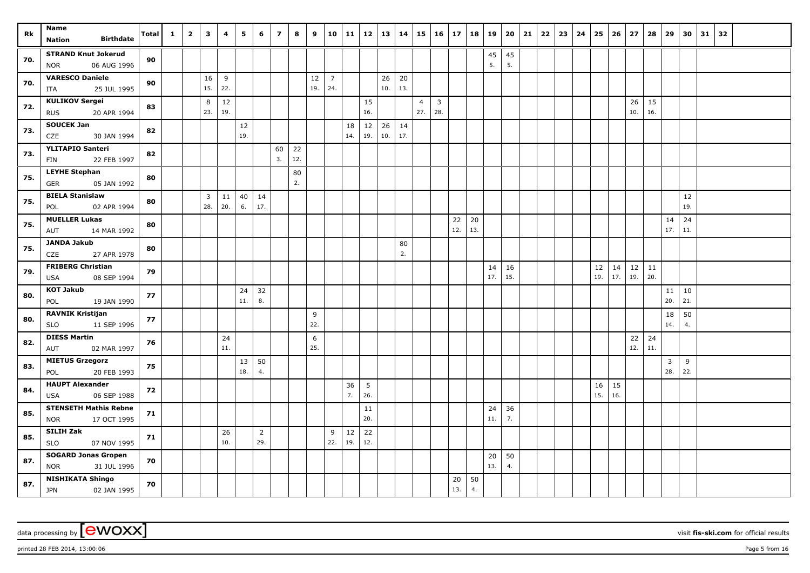|     | Name                                     |              |   |                | $\overline{\mathbf{3}}$ |     | 5   | 6              | $\overline{7}$ |     |     | 10             |     |     |              |          |                |                | 17        |     |           |           |    |    |    | 24 |           |           | 27        |           | 29        |           | 31 | 32 |  |
|-----|------------------------------------------|--------------|---|----------------|-------------------------|-----|-----|----------------|----------------|-----|-----|----------------|-----|-----|--------------|----------|----------------|----------------|-----------|-----|-----------|-----------|----|----|----|----|-----------|-----------|-----------|-----------|-----------|-----------|----|----|--|
| Rk  | <b>Birthdate</b><br><b>Nation</b>        | <b>Total</b> | 1 | $\overline{2}$ |                         | 4   |     |                |                | 8   | 9   |                | 11  | 12  | $13 \mid 14$ |          | 15             | <b>16</b>      |           | 18  | 19        | 20        | 21 | 22 | 23 |    | 25        | 26        |           | 28        |           | 30        |    |    |  |
|     | <b>STRAND Knut Jokerud</b>               |              |   |                |                         |     |     |                |                |     |     |                |     |     |              |          |                |                |           |     | 45        | 45        |    |    |    |    |           |           |           |           |           |           |    |    |  |
| 70. | 06 AUG 1996<br><b>NOR</b>                | 90           |   |                |                         |     |     |                |                |     |     |                |     |     |              |          |                |                |           |     | 5.        | 5.        |    |    |    |    |           |           |           |           |           |           |    |    |  |
| 70. | <b>VARESCO Daniele</b>                   | 90           |   |                | 16                      | 9   |     |                |                |     | 12  | $\overline{7}$ |     |     | 26           | 20       |                |                |           |     |           |           |    |    |    |    |           |           |           |           |           |           |    |    |  |
|     | 25 JUL 1995<br>ITA                       |              |   |                | 15.                     | 22. |     |                |                |     | 19. | 24.            |     |     | 10.          | 13.      |                |                |           |     |           |           |    |    |    |    |           |           |           |           |           |           |    |    |  |
| 72. | <b>KULIKOV Sergei</b>                    | 83           |   |                | 8                       | 12  |     |                |                |     |     |                |     | 15  |              |          | $\overline{4}$ | $\overline{3}$ |           |     |           |           |    |    |    |    |           |           | 26        | 15        |           |           |    |    |  |
|     | <b>RUS</b><br>20 APR 1994                |              |   |                | 23.                     | 19. |     |                |                |     |     |                |     | 16. |              |          | 27.            | 28.            |           |     |           |           |    |    |    |    |           |           | 10.       | 16.       |           |           |    |    |  |
| 73. | <b>SOUCEK Jan</b>                        | 82           |   |                |                         |     | 12  |                |                |     |     |                | 18  | 12  | 26           | 14       |                |                |           |     |           |           |    |    |    |    |           |           |           |           |           |           |    |    |  |
|     | CZE<br>30 JAN 1994                       |              |   |                |                         |     | 19. |                |                |     |     |                | 14. | 19. | 10.          | 17.      |                |                |           |     |           |           |    |    |    |    |           |           |           |           |           |           |    |    |  |
| 73. | <b>YLITAPIO Santeri</b>                  | 82           |   |                |                         |     |     |                | 60             | 22  |     |                |     |     |              |          |                |                |           |     |           |           |    |    |    |    |           |           |           |           |           |           |    |    |  |
|     | 22 FEB 1997<br><b>FIN</b>                |              |   |                |                         |     |     |                | 3.             | 12. |     |                |     |     |              |          |                |                |           |     |           |           |    |    |    |    |           |           |           |           |           |           |    |    |  |
| 75. | <b>LEYHE Stephan</b>                     | 80           |   |                |                         |     |     |                |                | 80  |     |                |     |     |              |          |                |                |           |     |           |           |    |    |    |    |           |           |           |           |           |           |    |    |  |
|     | 05 JAN 1992<br><b>GER</b>                |              |   |                |                         |     |     |                |                | 2.  |     |                |     |     |              |          |                |                |           |     |           |           |    |    |    |    |           |           |           |           |           |           |    |    |  |
| 75. | <b>BIELA Stanislaw</b>                   | 80           |   |                | 3                       | 11  | 40  | 14             |                |     |     |                |     |     |              |          |                |                |           |     |           |           |    |    |    |    |           |           |           |           |           | $12\,$    |    |    |  |
|     | POL<br>02 APR 1994                       |              |   |                | 28.                     | 20. | 6.  | 17.            |                |     |     |                |     |     |              |          |                |                |           |     |           |           |    |    |    |    |           |           |           |           |           | 19.       |    |    |  |
| 75. | <b>MUELLER Lukas</b>                     | 80           |   |                |                         |     |     |                |                |     |     |                |     |     |              |          |                |                | 22<br>12. | 20  |           |           |    |    |    |    |           |           |           |           | 14<br>17. | 24<br>11. |    |    |  |
|     | 14 MAR 1992<br>AUT                       |              |   |                |                         |     |     |                |                |     |     |                |     |     |              |          |                |                |           | 13. |           |           |    |    |    |    |           |           |           |           |           |           |    |    |  |
| 75. | <b>JANDA Jakub</b><br>CZE<br>27 APR 1978 | 80           |   |                |                         |     |     |                |                |     |     |                |     |     |              | 80<br>2. |                |                |           |     |           |           |    |    |    |    |           |           |           |           |           |           |    |    |  |
|     | <b>FRIBERG Christian</b>                 |              |   |                |                         |     |     |                |                |     |     |                |     |     |              |          |                |                |           |     |           |           |    |    |    |    |           |           |           |           |           |           |    |    |  |
| 79. | 08 SEP 1994<br><b>USA</b>                | 79           |   |                |                         |     |     |                |                |     |     |                |     |     |              |          |                |                |           |     | 14<br>17. | 16<br>15. |    |    |    |    | 12<br>19. | 14<br>17. | 12<br>19. | 11<br>20. |           |           |    |    |  |
|     | <b>KOT Jakub</b>                         |              |   |                |                         |     | 24  | 32             |                |     |     |                |     |     |              |          |                |                |           |     |           |           |    |    |    |    |           |           |           |           | 11        | 10        |    |    |  |
| 80. | POL<br>19 JAN 1990                       | 77           |   |                |                         |     | 11. | 8.             |                |     |     |                |     |     |              |          |                |                |           |     |           |           |    |    |    |    |           |           |           |           | 20.       | 21.       |    |    |  |
|     | <b>RAVNIK Kristijan</b>                  |              |   |                |                         |     |     |                |                |     | 9   |                |     |     |              |          |                |                |           |     |           |           |    |    |    |    |           |           |           |           | 18        | 50        |    |    |  |
| 80. | <b>SLO</b><br>11 SEP 1996                | 77           |   |                |                         |     |     |                |                |     | 22. |                |     |     |              |          |                |                |           |     |           |           |    |    |    |    |           |           |           |           | 14.       | 4.        |    |    |  |
|     | <b>DIESS Martin</b>                      |              |   |                |                         | 24  |     |                |                |     | 6   |                |     |     |              |          |                |                |           |     |           |           |    |    |    |    |           |           | $22$      | 24        |           |           |    |    |  |
| 82. | AUT<br>02 MAR 1997                       | 76           |   |                |                         | 11. |     |                |                |     | 25. |                |     |     |              |          |                |                |           |     |           |           |    |    |    |    |           |           | 12.       | 11.       |           |           |    |    |  |
|     | <b>MIETUS Grzegorz</b>                   |              |   |                |                         |     | 13  | 50             |                |     |     |                |     |     |              |          |                |                |           |     |           |           |    |    |    |    |           |           |           |           | 3         | 9         |    |    |  |
| 83. | 20 FEB 1993<br>POL                       | 75           |   |                |                         |     | 18. | 4.             |                |     |     |                |     |     |              |          |                |                |           |     |           |           |    |    |    |    |           |           |           |           | 28.       | 22.       |    |    |  |
|     | <b>HAUPT Alexander</b>                   |              |   |                |                         |     |     |                |                |     |     |                | 36  | 5   |              |          |                |                |           |     |           |           |    |    |    |    | 16        | 15        |           |           |           |           |    |    |  |
| 84. | 06 SEP 1988<br>USA                       | 72           |   |                |                         |     |     |                |                |     |     |                | 7.  | 26. |              |          |                |                |           |     |           |           |    |    |    |    | 15.       | 16.       |           |           |           |           |    |    |  |
|     | <b>STENSETH Mathis Rebne</b>             |              |   |                |                         |     |     |                |                |     |     |                |     | 11  |              |          |                |                |           |     | 24        | 36        |    |    |    |    |           |           |           |           |           |           |    |    |  |
| 85. | 17 OCT 1995<br><b>NOR</b>                | 71           |   |                |                         |     |     |                |                |     |     |                |     | 20. |              |          |                |                |           |     | 11.       | 7.        |    |    |    |    |           |           |           |           |           |           |    |    |  |
| 85. | SILIH Zak                                | 71           |   |                |                         | 26  |     | $\overline{2}$ |                |     |     | 9              | 12  | 22  |              |          |                |                |           |     |           |           |    |    |    |    |           |           |           |           |           |           |    |    |  |
|     | <b>SLO</b><br>07 NOV 1995                |              |   |                |                         | 10. |     | 29.            |                |     |     | 22.            | 19. | 12. |              |          |                |                |           |     |           |           |    |    |    |    |           |           |           |           |           |           |    |    |  |
| 87. | <b>SOGARD Jonas Gropen</b>               | 70           |   |                |                         |     |     |                |                |     |     |                |     |     |              |          |                |                |           |     | 20        | 50        |    |    |    |    |           |           |           |           |           |           |    |    |  |
|     | <b>NOR</b><br>31 JUL 1996                |              |   |                |                         |     |     |                |                |     |     |                |     |     |              |          |                |                |           |     | 13.       | 4.        |    |    |    |    |           |           |           |           |           |           |    |    |  |
| 87. | <b>NISHIKATA Shingo</b>                  | 70           |   |                |                         |     |     |                |                |     |     |                |     |     |              |          |                |                | 20        | 50  |           |           |    |    |    |    |           |           |           |           |           |           |    |    |  |
|     | 02 JAN 1995<br><b>JPN</b>                |              |   |                |                         |     |     |                |                |     |     |                |     |     |              |          |                |                | 13.       | 4.  |           |           |    |    |    |    |           |           |           |           |           |           |    |    |  |

printed 28 FEB 2014, 13:00:06 Page 5 from 16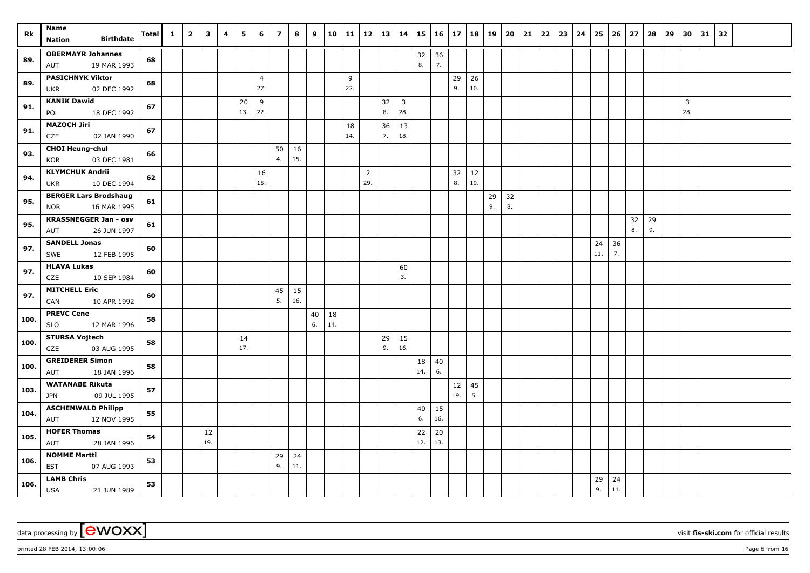| Rk   | Name<br><b>Birthdate</b><br><b>Nation</b>                 | Total | $\mathbf{1}$ | $\overline{2}$ | $\overline{\mathbf{3}}$ | 4 | 5         | 6              | $\overline{7}$ | 8         | 9  | 10  | 11 12 |                | 13       | 14                    | 15       | 16        | 17     | 18  | 19       | 20 l     | 21 | $22 \mid 23$ | 24 | 25       | 26        | 27 | 28 | 29 | 30             | 31 | 32 |  |
|------|-----------------------------------------------------------|-------|--------------|----------------|-------------------------|---|-----------|----------------|----------------|-----------|----|-----|-------|----------------|----------|-----------------------|----------|-----------|--------|-----|----------|----------|----|--------------|----|----------|-----------|----|----|----|----------------|----|----|--|
|      | <b>OBERMAYR Johannes</b>                                  |       |              |                |                         |   |           |                |                |           |    |     |       |                |          |                       | 32       | 36        |        |     |          |          |    |              |    |          |           |    |    |    |                |    |    |  |
| 89.  | 19 MAR 1993<br>AUT                                        | 68    |              |                |                         |   |           |                |                |           |    |     |       |                |          |                       | 8.       | 7.        |        |     |          |          |    |              |    |          |           |    |    |    |                |    |    |  |
| 89.  | <b>PASICHNYK Viktor</b>                                   | 68    |              |                |                         |   |           | $\overline{4}$ |                |           |    |     | 9     |                |          |                       |          |           | 29     | 26  |          |          |    |              |    |          |           |    |    |    |                |    |    |  |
|      | 02 DEC 1992<br><b>UKR</b><br><b>KANIK Dawid</b>           |       |              |                |                         |   |           | 27.            |                |           |    |     | 22.   |                |          |                       |          |           | 9.     | 10. |          |          |    |              |    |          |           |    |    |    | $\overline{3}$ |    |    |  |
| 91.  | POL<br>18 DEC 1992                                        | 67    |              |                |                         |   | 20<br>13. | 9<br>22.       |                |           |    |     |       |                | 32<br>8. | $\overline{3}$<br>28. |          |           |        |     |          |          |    |              |    |          |           |    |    |    | 28.            |    |    |  |
| 91.  | <b>MAZOCH Jiri</b>                                        | 67    |              |                |                         |   |           |                |                |           |    |     | 18    |                | 36       | 13                    |          |           |        |     |          |          |    |              |    |          |           |    |    |    |                |    |    |  |
|      | CZE<br>02 JAN 1990                                        |       |              |                |                         |   |           |                |                |           |    |     | 14.   |                | 7.       | 18.                   |          |           |        |     |          |          |    |              |    |          |           |    |    |    |                |    |    |  |
| 93.  | <b>CHOI Heung-chul</b><br>KOR<br>03 DEC 1981              | 66    |              |                |                         |   |           |                | 50<br>4.       | 16<br>15. |    |     |       |                |          |                       |          |           |        |     |          |          |    |              |    |          |           |    |    |    |                |    |    |  |
| 94.  | <b>KLYMCHUK Andrii</b>                                    | 62    |              |                |                         |   |           | 16             |                |           |    |     |       | $\overline{2}$ |          |                       |          |           | 32     | 12  |          |          |    |              |    |          |           |    |    |    |                |    |    |  |
|      | 10 DEC 1994<br><b>UKR</b>                                 |       |              |                |                         |   |           | 15.            |                |           |    |     |       | 29.            |          |                       |          |           | 8.     | 19. |          |          |    |              |    |          |           |    |    |    |                |    |    |  |
| 95.  | <b>BERGER Lars Brodshaug</b><br><b>NOR</b><br>16 MAR 1995 | 61    |              |                |                         |   |           |                |                |           |    |     |       |                |          |                       |          |           |        |     | 29<br>9. | 32<br>8. |    |              |    |          |           |    |    |    |                |    |    |  |
|      | <b>KRASSNEGGER Jan - osv</b>                              |       |              |                |                         |   |           |                |                |           |    |     |       |                |          |                       |          |           |        |     |          |          |    |              |    |          |           | 32 | 29 |    |                |    |    |  |
| 95.  | 26 JUN 1997<br>AUT                                        | 61    |              |                |                         |   |           |                |                |           |    |     |       |                |          |                       |          |           |        |     |          |          |    |              |    |          |           | 8. | 9. |    |                |    |    |  |
| 97.  | <b>SANDELL Jonas</b>                                      | 60    |              |                |                         |   |           |                |                |           |    |     |       |                |          |                       |          |           |        |     |          |          |    |              |    | 24       | 36        |    |    |    |                |    |    |  |
|      | SWE<br>12 FEB 1995                                        |       |              |                |                         |   |           |                |                |           |    |     |       |                |          |                       |          |           |        |     |          |          |    |              |    | 11.      | 7.        |    |    |    |                |    |    |  |
| 97.  | <b>HLAVA Lukas</b><br>CZE<br>10 SEP 1984                  | 60    |              |                |                         |   |           |                |                |           |    |     |       |                |          | 60<br>3.              |          |           |        |     |          |          |    |              |    |          |           |    |    |    |                |    |    |  |
| 97.  | <b>MITCHELL Eric</b><br>CAN                               | 60    |              |                |                         |   |           |                | 45<br>5.       | 15<br>16. |    |     |       |                |          |                       |          |           |        |     |          |          |    |              |    |          |           |    |    |    |                |    |    |  |
|      | 10 APR 1992<br><b>PREVC Cene</b>                          |       |              |                |                         |   |           |                |                |           | 40 | 18  |       |                |          |                       |          |           |        |     |          |          |    |              |    |          |           |    |    |    |                |    |    |  |
| 100. | <b>SLO</b><br>12 MAR 1996                                 | 58    |              |                |                         |   |           |                |                |           | 6. | 14. |       |                |          |                       |          |           |        |     |          |          |    |              |    |          |           |    |    |    |                |    |    |  |
| 100. | <b>STURSA Vojtech</b><br>03 AUG 1995<br>CZE               | 58    |              |                |                         |   | 14<br>17. |                |                |           |    |     |       |                | 29<br>9. | 15<br>16.             |          |           |        |     |          |          |    |              |    |          |           |    |    |    |                |    |    |  |
|      | <b>GREIDERER Simon</b>                                    |       |              |                |                         |   |           |                |                |           |    |     |       |                |          |                       | 18       | 40        |        |     |          |          |    |              |    |          |           |    |    |    |                |    |    |  |
| 100. | 18 JAN 1996<br>AUT                                        | 58    |              |                |                         |   |           |                |                |           |    |     |       |                |          |                       | 14.      | 6.        |        |     |          |          |    |              |    |          |           |    |    |    |                |    |    |  |
| 103. | <b>WATANABE Rikuta</b>                                    | 57    |              |                |                         |   |           |                |                |           |    |     |       |                |          |                       |          |           | $12\,$ | 45  |          |          |    |              |    |          |           |    |    |    |                |    |    |  |
|      | 09 JUL 1995<br><b>JPN</b>                                 |       |              |                |                         |   |           |                |                |           |    |     |       |                |          |                       |          |           | 19.    | 5.  |          |          |    |              |    |          |           |    |    |    |                |    |    |  |
| 104. | <b>ASCHENWALD Philipp</b><br>12 NOV 1995<br>AUT           | 55    |              |                |                         |   |           |                |                |           |    |     |       |                |          |                       | 40<br>6. | 15<br>16. |        |     |          |          |    |              |    |          |           |    |    |    |                |    |    |  |
| 105. | <b>HOFER Thomas</b>                                       | 54    |              |                | $12\,$                  |   |           |                |                |           |    |     |       |                |          |                       | 22       | $20\,$    |        |     |          |          |    |              |    |          |           |    |    |    |                |    |    |  |
|      | 28 JAN 1996<br>AUT                                        |       |              |                | 19.                     |   |           |                |                |           |    |     |       |                |          |                       | 12.      | 13.       |        |     |          |          |    |              |    |          |           |    |    |    |                |    |    |  |
| 106. | <b>NOMME Martti</b><br><b>EST</b><br>07 AUG 1993          | 53    |              |                |                         |   |           |                | 29<br>9.       | 24<br>11. |    |     |       |                |          |                       |          |           |        |     |          |          |    |              |    |          |           |    |    |    |                |    |    |  |
| 106. | <b>LAMB Chris</b><br><b>USA</b><br>21 JUN 1989            | 53    |              |                |                         |   |           |                |                |           |    |     |       |                |          |                       |          |           |        |     |          |          |    |              |    | 29<br>9. | 24<br>11. |    |    |    |                |    |    |  |

printed 28 FEB 2014, 13:00:06 Page 6 from 16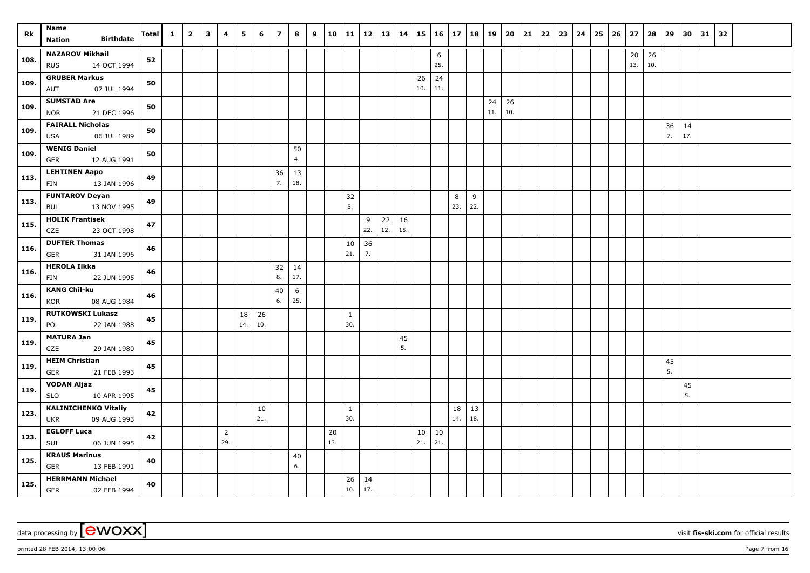| Rk   | Name                                                 | <b>Total</b> | $\mathbf{1}$ | $\overline{2}$ | $\overline{\mathbf{3}}$ | 4                     | 5         | 6         | $\overline{ }$ | 8         | 9 | 10        | $11 \mid 12$        |           | 13        | 14 15     |           | 16        | 17        | 18        | ∣ 19      | 20        | 21 | 22 | 23 | 24 | 25 | 26 | 27        | 28        | 29       | 30        | 31 | 32 |  |
|------|------------------------------------------------------|--------------|--------------|----------------|-------------------------|-----------------------|-----------|-----------|----------------|-----------|---|-----------|---------------------|-----------|-----------|-----------|-----------|-----------|-----------|-----------|-----------|-----------|----|----|----|----|----|----|-----------|-----------|----------|-----------|----|----|--|
|      | <b>Birthdate</b><br><b>Nation</b>                    |              |              |                |                         |                       |           |           |                |           |   |           |                     |           |           |           |           |           |           |           |           |           |    |    |    |    |    |    |           |           |          |           |    |    |  |
| 108. | <b>NAZAROV Mikhail</b><br><b>RUS</b><br>14 OCT 1994  | 52           |              |                |                         |                       |           |           |                |           |   |           |                     |           |           |           |           | 6<br>25.  |           |           |           |           |    |    |    |    |    |    | 20<br>13. | 26<br>10. |          |           |    |    |  |
| 109. | <b>GRUBER Markus</b><br>07 JUL 1994<br>AUT           | 50           |              |                |                         |                       |           |           |                |           |   |           |                     |           |           |           | 26<br>10. | 24<br>11. |           |           |           |           |    |    |    |    |    |    |           |           |          |           |    |    |  |
| 109. | <b>SUMSTAD Are</b><br>21 DEC 1996<br><b>NOR</b>      | 50           |              |                |                         |                       |           |           |                |           |   |           |                     |           |           |           |           |           |           |           | 24<br>11. | 26<br>10. |    |    |    |    |    |    |           |           |          |           |    |    |  |
| 109. | <b>FAIRALL Nicholas</b><br><b>USA</b><br>06 JUL 1989 | 50           |              |                |                         |                       |           |           |                |           |   |           |                     |           |           |           |           |           |           |           |           |           |    |    |    |    |    |    |           |           | 36<br>7. | 14<br>17. |    |    |  |
| 109. | <b>WENIG Daniel</b><br>12 AUG 1991<br><b>GER</b>     | 50           |              |                |                         |                       |           |           |                | 50<br>4.  |   |           |                     |           |           |           |           |           |           |           |           |           |    |    |    |    |    |    |           |           |          |           |    |    |  |
| 113. | <b>LEHTINEN Aapo</b><br>13 JAN 1996<br>FIN           | 49           |              |                |                         |                       |           |           | 36<br>7.       | 13<br>18. |   |           |                     |           |           |           |           |           |           |           |           |           |    |    |    |    |    |    |           |           |          |           |    |    |  |
| 113. | <b>FUNTAROV Deyan</b><br>13 NOV 1995<br><b>BUL</b>   | 49           |              |                |                         |                       |           |           |                |           |   |           | 32<br>8.            |           |           |           |           |           | 8<br>23.  | 9<br>22.  |           |           |    |    |    |    |    |    |           |           |          |           |    |    |  |
| 115. | <b>HOLIK Frantisek</b><br>CZE<br>23 OCT 1998         | 47           |              |                |                         |                       |           |           |                |           |   |           |                     | 9<br>22.  | 22<br>12. | 16<br>15. |           |           |           |           |           |           |    |    |    |    |    |    |           |           |          |           |    |    |  |
| 116. | <b>DUFTER Thomas</b><br>31 JAN 1996<br><b>GER</b>    | 46           |              |                |                         |                       |           |           |                |           |   |           | 10<br>21.           | 36<br>7.  |           |           |           |           |           |           |           |           |    |    |    |    |    |    |           |           |          |           |    |    |  |
| 116. | <b>HEROLA Ilkka</b><br><b>FIN</b><br>22 JUN 1995     | 46           |              |                |                         |                       |           |           | 32<br>8.       | 14<br>17. |   |           |                     |           |           |           |           |           |           |           |           |           |    |    |    |    |    |    |           |           |          |           |    |    |  |
| 116. | <b>KANG Chil-ku</b><br>08 AUG 1984<br>KOR            | 46           |              |                |                         |                       |           |           | 40<br>6.       | 6<br>25.  |   |           |                     |           |           |           |           |           |           |           |           |           |    |    |    |    |    |    |           |           |          |           |    |    |  |
| 119. | <b>RUTKOWSKI Lukasz</b><br>POL<br>22 JAN 1988        | 45           |              |                |                         |                       | 18<br>14. | 26<br>10. |                |           |   |           | $\mathbf{1}$<br>30. |           |           |           |           |           |           |           |           |           |    |    |    |    |    |    |           |           |          |           |    |    |  |
| 119. | <b>MATURA Jan</b><br>29 JAN 1980<br>CZE              | 45           |              |                |                         |                       |           |           |                |           |   |           |                     |           |           | 45<br>5.  |           |           |           |           |           |           |    |    |    |    |    |    |           |           |          |           |    |    |  |
| 119. | <b>HEIM Christian</b><br>21 FEB 1993<br><b>GER</b>   | 45           |              |                |                         |                       |           |           |                |           |   |           |                     |           |           |           |           |           |           |           |           |           |    |    |    |    |    |    |           |           | 45<br>5. |           |    |    |  |
| 119. | <b>VODAN Aljaz</b><br>10 APR 1995<br>SLO             | 45           |              |                |                         |                       |           |           |                |           |   |           |                     |           |           |           |           |           |           |           |           |           |    |    |    |    |    |    |           |           |          | 45<br>5.  |    |    |  |
| 123. | <b>KALINICHENKO Vitaliy</b><br>09 AUG 1993<br>UKR    | 42           |              |                |                         |                       |           | 10<br>21. |                |           |   |           | $\mathbf{1}$<br>30. |           |           |           |           |           | 18<br>14. | 13<br>18. |           |           |    |    |    |    |    |    |           |           |          |           |    |    |  |
| 123. | <b>EGLOFF Luca</b><br>06 JUN 1995<br>SUI             | 42           |              |                |                         | $\overline{2}$<br>29. |           |           |                |           |   | 20<br>13. |                     |           |           |           | 10<br>21. | 10<br>21. |           |           |           |           |    |    |    |    |    |    |           |           |          |           |    |    |  |
| 125. | <b>KRAUS Marinus</b><br><b>GER</b><br>13 FEB 1991    | 40           |              |                |                         |                       |           |           |                | 40<br>6.  |   |           |                     |           |           |           |           |           |           |           |           |           |    |    |    |    |    |    |           |           |          |           |    |    |  |
| 125. | <b>HERRMANN Michael</b><br><b>GER</b><br>02 FEB 1994 | 40           |              |                |                         |                       |           |           |                |           |   |           | 26<br>10.           | 14<br>17. |           |           |           |           |           |           |           |           |    |    |    |    |    |    |           |           |          |           |    |    |  |

printed 28 FEB 2014, 13:00:06 Page 7 from 16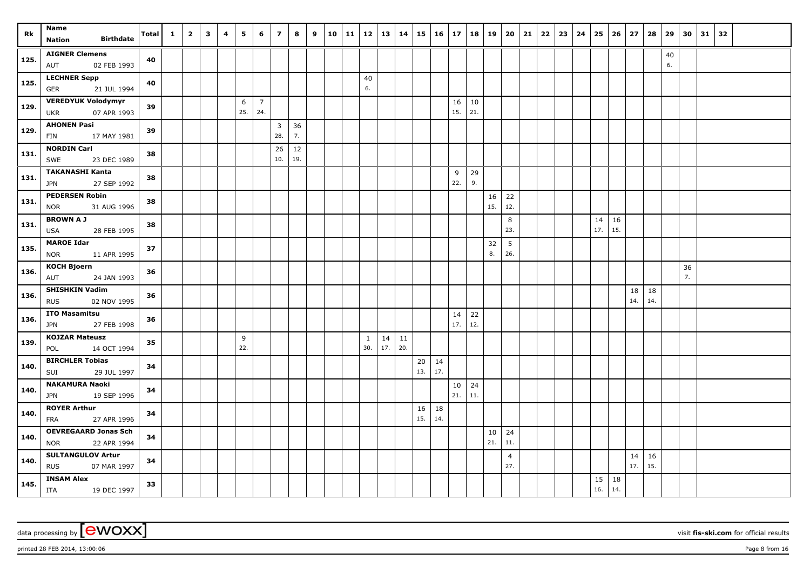| Rk   | Name                                                   | Total | $\mathbf{1}$ | $\overline{\mathbf{2}}$ | $\mathbf{3}$ | 4 | 5        | 6                     | $\overline{z}$      | 8        | 9 | 10 | 11 | 12                  | 13   14   |           |                     | $15 \mid 16 \mid$ | 17            | 18        | 19        | 20                    | $\vert$ 21 | 22 | 23 | 24 | 25        | 26        | 27        | 28  | 29       | 30       | 31 | 32 |  |
|------|--------------------------------------------------------|-------|--------------|-------------------------|--------------|---|----------|-----------------------|---------------------|----------|---|----|----|---------------------|-----------|-----------|---------------------|-------------------|---------------|-----------|-----------|-----------------------|------------|----|----|----|-----------|-----------|-----------|-----|----------|----------|----|----|--|
|      | <b>Birthdate</b><br><b>Nation</b>                      |       |              |                         |              |   |          |                       |                     |          |   |    |    |                     |           |           |                     |                   |               |           |           |                       |            |    |    |    |           |           |           |     |          |          |    |    |  |
| 125. | <b>AIGNER Clemens</b><br>AUT<br>02 FEB 1993            | 40    |              |                         |              |   |          |                       |                     |          |   |    |    |                     |           |           |                     |                   |               |           |           |                       |            |    |    |    |           |           |           |     | 40<br>6. |          |    |    |  |
| 125. | <b>LECHNER Sepp</b><br>21 JUL 1994<br><b>GER</b>       | 40    |              |                         |              |   |          |                       |                     |          |   |    |    | 40<br>6.            |           |           |                     |                   |               |           |           |                       |            |    |    |    |           |           |           |     |          |          |    |    |  |
| 129. | <b>VEREDYUK Volodymyr</b><br>07 APR 1993<br><b>UKR</b> | 39    |              |                         |              |   | 6<br>25. | $\overline{7}$<br>24. |                     |          |   |    |    |                     |           |           |                     |                   | 16<br>15.     | 10<br>21. |           |                       |            |    |    |    |           |           |           |     |          |          |    |    |  |
| 129. | <b>AHONEN Pasi</b><br>17 MAY 1981<br>FIN               | 39    |              |                         |              |   |          |                       | $\mathbf{3}$<br>28. | 36<br>7. |   |    |    |                     |           |           |                     |                   |               |           |           |                       |            |    |    |    |           |           |           |     |          |          |    |    |  |
| 131. | <b>NORDIN Carl</b>                                     | 38    |              |                         |              |   |          |                       | 26                  | 12       |   |    |    |                     |           |           |                     |                   |               |           |           |                       |            |    |    |    |           |           |           |     |          |          |    |    |  |
| 131. | 23 DEC 1989<br>SWE<br><b>TAKANASHI Kanta</b>           | 38    |              |                         |              |   |          |                       | 10.                 | 19.      |   |    |    |                     |           |           |                     |                   | 9             | 29        |           |                       |            |    |    |    |           |           |           |     |          |          |    |    |  |
|      | 27 SEP 1992<br><b>JPN</b><br><b>PEDERSEN Robin</b>     |       |              |                         |              |   |          |                       |                     |          |   |    |    |                     |           |           |                     |                   | 22.           | 9.        | 16        | 22                    |            |    |    |    |           |           |           |     |          |          |    |    |  |
| 131. | 31 AUG 1996<br><b>NOR</b>                              | 38    |              |                         |              |   |          |                       |                     |          |   |    |    |                     |           |           |                     |                   |               |           | 15.       | 12.                   |            |    |    |    |           |           |           |     |          |          |    |    |  |
| 131. | <b>BROWN A J</b><br>28 FEB 1995<br>USA                 | 38    |              |                         |              |   |          |                       |                     |          |   |    |    |                     |           |           |                     |                   |               |           |           | 8<br>23.              |            |    |    |    | 14<br>17. | 16<br>15. |           |     |          |          |    |    |  |
| 135. | <b>MAROE Idar</b><br><b>NOR</b><br>11 APR 1995         | 37    |              |                         |              |   |          |                       |                     |          |   |    |    |                     |           |           |                     |                   |               |           | 32<br>8.  | 5<br>26.              |            |    |    |    |           |           |           |     |          |          |    |    |  |
| 136. | <b>KOCH Bjoern</b><br>AUT<br>24 JAN 1993               | 36    |              |                         |              |   |          |                       |                     |          |   |    |    |                     |           |           |                     |                   |               |           |           |                       |            |    |    |    |           |           |           |     |          | 36<br>7. |    |    |  |
| 136. | <b>SHISHKIN Vadim</b>                                  | 36    |              |                         |              |   |          |                       |                     |          |   |    |    |                     |           |           |                     |                   |               |           |           |                       |            |    |    |    |           |           | 18        | 18  |          |          |    |    |  |
|      | <b>RUS</b><br>02 NOV 1995<br><b>ITO Masamitsu</b>      |       |              |                         |              |   |          |                       |                     |          |   |    |    |                     |           |           |                     |                   | 14            | 22        |           |                       |            |    |    |    |           |           | 14.       | 14. |          |          |    |    |  |
| 136. | <b>JPN</b><br>27 FEB 1998                              | 36    |              |                         |              |   |          |                       |                     |          |   |    |    |                     |           |           |                     |                   | 17.           | 12.       |           |                       |            |    |    |    |           |           |           |     |          |          |    |    |  |
| 139. | <b>KOJZAR Mateusz</b><br>14 OCT 1994<br>POL            | 35    |              |                         |              |   | 9<br>22. |                       |                     |          |   |    |    | <sup>1</sup><br>30. | 14<br>17. | 11<br>20. |                     |                   |               |           |           |                       |            |    |    |    |           |           |           |     |          |          |    |    |  |
| 140. | <b>BIRCHLER Tobias</b><br>29 JUL 1997<br>SUI           | 34    |              |                         |              |   |          |                       |                     |          |   |    |    |                     |           |           | $20 \mid 14$<br>13. | 17.               |               |           |           |                       |            |    |    |    |           |           |           |     |          |          |    |    |  |
| 140. | <b>NAKAMURA Naoki</b><br>19 SEP 1996<br><b>JPN</b>     | 34    |              |                         |              |   |          |                       |                     |          |   |    |    |                     |           |           |                     |                   | $10\,$<br>21. | 24<br>11. |           |                       |            |    |    |    |           |           |           |     |          |          |    |    |  |
| 140. | <b>ROYER Arthur</b><br>27 APR 1996<br><b>FRA</b>       | 34    |              |                         |              |   |          |                       |                     |          |   |    |    |                     |           |           | 16<br>15.           | 18<br> 14.        |               |           |           |                       |            |    |    |    |           |           |           |     |          |          |    |    |  |
| 140. | <b>OEVREGAARD Jonas Sch</b>                            | 34    |              |                         |              |   |          |                       |                     |          |   |    |    |                     |           |           |                     |                   |               |           | 10<br>21. | 24<br>11.             |            |    |    |    |           |           |           |     |          |          |    |    |  |
|      | 22 APR 1994<br><b>NOR</b><br><b>SULTANGULOV Artur</b>  |       |              |                         |              |   |          |                       |                     |          |   |    |    |                     |           |           |                     |                   |               |           |           |                       |            |    |    |    |           |           |           | 16  |          |          |    |    |  |
| 140. | <b>RUS</b><br>07 MAR 1997                              | 34    |              |                         |              |   |          |                       |                     |          |   |    |    |                     |           |           |                     |                   |               |           |           | $\overline{4}$<br>27. |            |    |    |    |           |           | 14<br>17. | 15. |          |          |    |    |  |
| 145. | <b>INSAM Alex</b><br>ITA 19 DEC 1997                   | 33    |              |                         |              |   |          |                       |                     |          |   |    |    |                     |           |           |                     |                   |               |           |           |                       |            |    |    |    | 15<br>16. | 18<br>14. |           |     |          |          |    |    |  |

printed 28 FEB 2014, 13:00:06 Page 8 from 16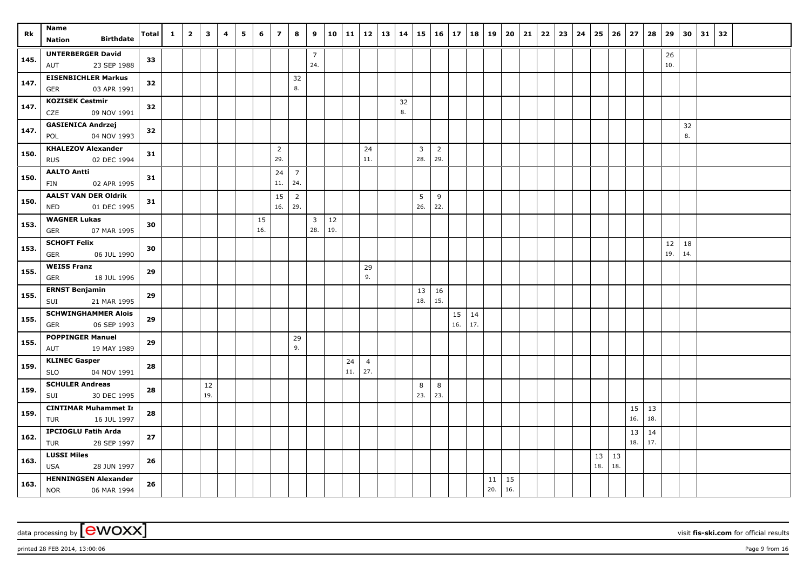| Rk   | Name                                                     | <b>Total</b> | $\mathbf{1}$ | $\overline{\mathbf{2}}$ | $\mathbf{3}$ | 4 | 5 | 6         | $\overline{z}$        | 8                     | 9                     | 10        | 11  | 12             | 13 | 14 |                       | $15 \mid 16$          | 17        | 18        | 19        | 20        | 21 | 22 | 23 | 24 | 25        | 26        | 27        | 28        | 29        | 30        | 31 | 32 |  |
|------|----------------------------------------------------------|--------------|--------------|-------------------------|--------------|---|---|-----------|-----------------------|-----------------------|-----------------------|-----------|-----|----------------|----|----|-----------------------|-----------------------|-----------|-----------|-----------|-----------|----|----|----|----|-----------|-----------|-----------|-----------|-----------|-----------|----|----|--|
|      | <b>Birthdate</b><br><b>Nation</b>                        |              |              |                         |              |   |   |           |                       |                       |                       |           |     |                |    |    |                       |                       |           |           |           |           |    |    |    |    |           |           |           |           |           |           |    |    |  |
| 145. | <b>UNTERBERGER David</b><br>AUT<br>23 SEP 1988           | 33           |              |                         |              |   |   |           |                       |                       | $\overline{7}$<br>24. |           |     |                |    |    |                       |                       |           |           |           |           |    |    |    |    |           |           |           |           | 26<br>10. |           |    |    |  |
| 147. | <b>EISENBICHLER Markus</b><br>03 APR 1991<br><b>GER</b>  | 32           |              |                         |              |   |   |           |                       | 32<br>8.              |                       |           |     |                |    |    |                       |                       |           |           |           |           |    |    |    |    |           |           |           |           |           |           |    |    |  |
| 147. | <b>KOZISEK Cestmir</b>                                   | 32           |              |                         |              |   |   |           |                       |                       |                       |           |     |                |    | 32 |                       |                       |           |           |           |           |    |    |    |    |           |           |           |           |           |           |    |    |  |
|      | <b>CZE</b><br>09 NOV 1991<br><b>GASIENICA Andrzej</b>    |              |              |                         |              |   |   |           |                       |                       |                       |           |     |                |    | 8. |                       |                       |           |           |           |           |    |    |    |    |           |           |           |           |           |           |    |    |  |
| 147. | 04 NOV 1993<br>POL                                       | 32           |              |                         |              |   |   |           |                       |                       |                       |           |     |                |    |    |                       |                       |           |           |           |           |    |    |    |    |           |           |           |           |           | 32<br>8.  |    |    |  |
| 150. | <b>KHALEZOV Alexander</b><br>02 DEC 1994<br><b>RUS</b>   | 31           |              |                         |              |   |   |           | $\overline{2}$<br>29. |                       |                       |           |     | 24<br>11.      |    |    | $\overline{3}$<br>28. | $\overline{2}$<br>29. |           |           |           |           |    |    |    |    |           |           |           |           |           |           |    |    |  |
| 150. | <b>AALTO Antti</b><br>02 APR 1995<br><b>FIN</b>          | 31           |              |                         |              |   |   |           | 24<br>11.             | $\overline{7}$<br>24. |                       |           |     |                |    |    |                       |                       |           |           |           |           |    |    |    |    |           |           |           |           |           |           |    |    |  |
| 150. | <b>AALST VAN DER Oldrik</b><br>01 DEC 1995<br><b>NED</b> | 31           |              |                         |              |   |   |           | 15<br>16.             | $\overline{2}$<br>29. |                       |           |     |                |    |    | 5<br>26.              | 9<br>22.              |           |           |           |           |    |    |    |    |           |           |           |           |           |           |    |    |  |
| 153. | <b>WAGNER Lukas</b><br><b>GER</b><br>07 MAR 1995         | 30           |              |                         |              |   |   | 15<br>16. |                       |                       | $\overline{3}$<br>28. | 12<br>19. |     |                |    |    |                       |                       |           |           |           |           |    |    |    |    |           |           |           |           |           |           |    |    |  |
| 153. | <b>SCHOFT Felix</b><br>06 JUL 1990<br>GER                | 30           |              |                         |              |   |   |           |                       |                       |                       |           |     |                |    |    |                       |                       |           |           |           |           |    |    |    |    |           |           |           |           | 12<br>19. | 18<br>14. |    |    |  |
| 155. | <b>WEISS Franz</b><br>18 JUL 1996<br><b>GER</b>          | 29           |              |                         |              |   |   |           |                       |                       |                       |           |     | 29<br>9.       |    |    |                       |                       |           |           |           |           |    |    |    |    |           |           |           |           |           |           |    |    |  |
| 155. | <b>ERNST Benjamin</b><br>SUI<br>21 MAR 1995              | 29           |              |                         |              |   |   |           |                       |                       |                       |           |     |                |    |    | 13<br>18.             | 16<br>15.             |           |           |           |           |    |    |    |    |           |           |           |           |           |           |    |    |  |
| 155. | <b>SCHWINGHAMMER Alois</b><br>06 SEP 1993                | 29           |              |                         |              |   |   |           |                       |                       |                       |           |     |                |    |    |                       |                       | 15<br>16. | 14<br>17. |           |           |    |    |    |    |           |           |           |           |           |           |    |    |  |
| 155. | <b>GER</b><br><b>POPPINGER Manuel</b>                    | 29           |              |                         |              |   |   |           |                       | 29                    |                       |           |     |                |    |    |                       |                       |           |           |           |           |    |    |    |    |           |           |           |           |           |           |    |    |  |
|      | 19 MAY 1989<br>AUT<br><b>KLINEC Gasper</b>               |              |              |                         |              |   |   |           |                       | 9.                    |                       |           | 24  | $\overline{4}$ |    |    |                       |                       |           |           |           |           |    |    |    |    |           |           |           |           |           |           |    |    |  |
| 159. | <b>SLO</b><br>04 NOV 1991                                | 28           |              |                         |              |   |   |           |                       |                       |                       |           | 11. | 27.            |    |    |                       |                       |           |           |           |           |    |    |    |    |           |           |           |           |           |           |    |    |  |
| 159. | <b>SCHULER Andreas</b><br>30 DEC 1995<br>SUI             | 28           |              |                         | 12<br>19.    |   |   |           |                       |                       |                       |           |     |                |    |    | 8<br>23.              | 8<br>23.              |           |           |           |           |    |    |    |    |           |           |           |           |           |           |    |    |  |
| 159. | <b>CINTIMAR Muhammet In</b><br><b>TUR</b><br>16 JUL 1997 | 28           |              |                         |              |   |   |           |                       |                       |                       |           |     |                |    |    |                       |                       |           |           |           |           |    |    |    |    |           |           | 15<br>16. | 13<br>18. |           |           |    |    |  |
| 162. | <b>IPCIOGLU Fatih Arda</b><br>28 SEP 1997<br><b>TUR</b>  | 27           |              |                         |              |   |   |           |                       |                       |                       |           |     |                |    |    |                       |                       |           |           |           |           |    |    |    |    |           |           | 13<br>18. | 14<br>17. |           |           |    |    |  |
| 163. | <b>LUSSI Miles</b><br><b>USA</b><br>28 JUN 1997          | 26           |              |                         |              |   |   |           |                       |                       |                       |           |     |                |    |    |                       |                       |           |           |           |           |    |    |    |    | 13<br>18. | 13<br>18. |           |           |           |           |    |    |  |
| 163. | <b>HENNINGSEN Alexander</b><br><b>NOR</b><br>06 MAR 1994 | 26           |              |                         |              |   |   |           |                       |                       |                       |           |     |                |    |    |                       |                       |           |           | 11<br>20. | 15<br>16. |    |    |    |    |           |           |           |           |           |           |    |    |  |

printed 28 FEB 2014, 13:00:06 Page 9 from 16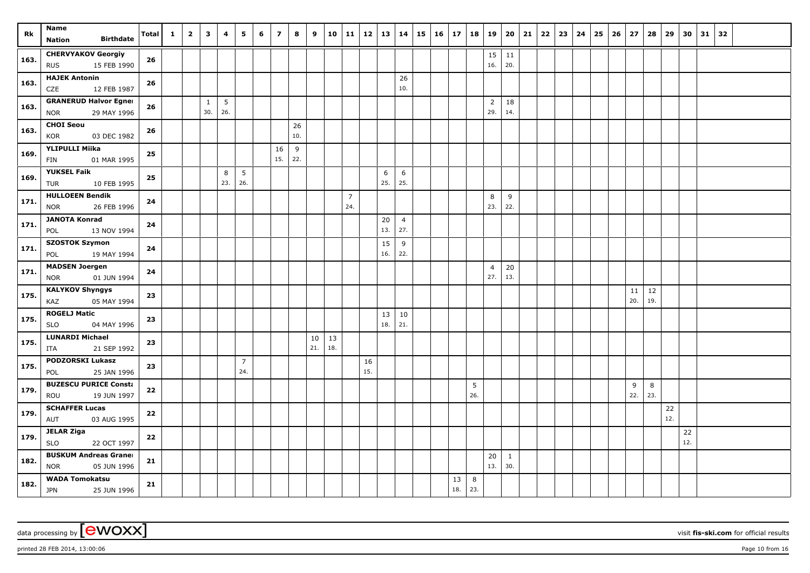| Rk   | Name<br><b>Birthdate</b><br>Nation                        | <b>Total</b> | $\mathbf{1}$ | $\overline{\mathbf{2}}$ | $\overline{\mathbf{3}}$ | 4        | 5                     | 6 | $\overline{z}$ | 8         | 9         | 10        | $11 \mid 12$          |           | 13        |                       | 14 15 16 | 17        | <b>18</b> | 19                    | 20                  | 21 | $22 \mid 23$ | 24 | 25 | 26 | 27        | 28        | 29        | 30        | 31 | 32 |  |
|------|-----------------------------------------------------------|--------------|--------------|-------------------------|-------------------------|----------|-----------------------|---|----------------|-----------|-----------|-----------|-----------------------|-----------|-----------|-----------------------|----------|-----------|-----------|-----------------------|---------------------|----|--------------|----|----|----|-----------|-----------|-----------|-----------|----|----|--|
| 163. | <b>CHERVYAKOV Georgiy</b><br>15 FEB 1990<br><b>RUS</b>    | 26           |              |                         |                         |          |                       |   |                |           |           |           |                       |           |           |                       |          |           |           | 15<br>16.             | 11<br>20.           |    |              |    |    |    |           |           |           |           |    |    |  |
| 163. | <b>HAJEK Antonin</b><br>CZE<br>12 FEB 1987                | 26           |              |                         |                         |          |                       |   |                |           |           |           |                       |           |           | 26<br>10.             |          |           |           |                       |                     |    |              |    |    |    |           |           |           |           |    |    |  |
| 163. | <b>GRANERUD Halvor Egner</b><br>29 MAY 1996<br><b>NOR</b> | 26           |              |                         | $\mathbf{1}$<br>30.     | 5<br>26. |                       |   |                |           |           |           |                       |           |           |                       |          |           |           | $\overline{2}$<br>29. | 18<br>14.           |    |              |    |    |    |           |           |           |           |    |    |  |
| 163. | <b>CHOI Seou</b><br>KOR<br>03 DEC 1982                    | 26           |              |                         |                         |          |                       |   |                | 26<br>10. |           |           |                       |           |           |                       |          |           |           |                       |                     |    |              |    |    |    |           |           |           |           |    |    |  |
| 169. | <b>YLIPULLI Miika</b><br>FIN<br>01 MAR 1995               | 25           |              |                         |                         |          |                       |   | 16<br>15.      | 9<br>22.  |           |           |                       |           |           |                       |          |           |           |                       |                     |    |              |    |    |    |           |           |           |           |    |    |  |
| 169. | <b>YUKSEL Faik</b><br><b>TUR</b><br>10 FEB 1995           | 25           |              |                         |                         | 8<br>23. | 5<br>26.              |   |                |           |           |           |                       |           | 6<br>25.  | 6<br>25.              |          |           |           |                       |                     |    |              |    |    |    |           |           |           |           |    |    |  |
| 171. | <b>HULLOEEN Bendik</b><br>26 FEB 1996<br><b>NOR</b>       | 24           |              |                         |                         |          |                       |   |                |           |           |           | $\overline{7}$<br>24. |           |           |                       |          |           |           | 8<br>23.              | 9<br>22.            |    |              |    |    |    |           |           |           |           |    |    |  |
| 171. | <b>JANOTA Konrad</b><br>13 NOV 1994<br>POL                | 24           |              |                         |                         |          |                       |   |                |           |           |           |                       |           | 20<br>13. | $\overline{4}$<br>27. |          |           |           |                       |                     |    |              |    |    |    |           |           |           |           |    |    |  |
| 171. | <b>SZOSTOK Szymon</b><br>19 MAY 1994<br>POL               | 24           |              |                         |                         |          |                       |   |                |           |           |           |                       |           | 15<br>16. | 9<br>22.              |          |           |           |                       |                     |    |              |    |    |    |           |           |           |           |    |    |  |
| 171. | <b>MADSEN Joergen</b><br>01 JUN 1994<br><b>NOR</b>        | 24           |              |                         |                         |          |                       |   |                |           |           |           |                       |           |           |                       |          |           |           | $\overline{4}$<br>27. | 20<br>13.           |    |              |    |    |    |           |           |           |           |    |    |  |
| 175. | <b>KALYKOV Shyngys</b><br>KAZ<br>05 MAY 1994              | 23           |              |                         |                         |          |                       |   |                |           |           |           |                       |           |           |                       |          |           |           |                       |                     |    |              |    |    |    | 11<br>20. | 12<br>19. |           |           |    |    |  |
| 175. | <b>ROGELJ Matic</b><br><b>SLO</b><br>04 MAY 1996          | 23           |              |                         |                         |          |                       |   |                |           |           |           |                       |           | 13<br>18. | $10\,$<br>21.         |          |           |           |                       |                     |    |              |    |    |    |           |           |           |           |    |    |  |
| 175. | <b>LUNARDI Michael</b><br>21 SEP 1992<br>ITA              | 23           |              |                         |                         |          |                       |   |                |           | 10<br>21. | 13<br>18. |                       |           |           |                       |          |           |           |                       |                     |    |              |    |    |    |           |           |           |           |    |    |  |
| 175. | PODZORSKI Lukasz<br>25 JAN 1996<br>POL                    | 23           |              |                         |                         |          | $\overline{7}$<br>24. |   |                |           |           |           |                       | 16<br>15. |           |                       |          |           |           |                       |                     |    |              |    |    |    |           |           |           |           |    |    |  |
| 179. | <b>BUZESCU PURICE Consta</b><br>19 JUN 1997<br>ROU        | 22           |              |                         |                         |          |                       |   |                |           |           |           |                       |           |           |                       |          |           | 5<br>26.  |                       |                     |    |              |    |    |    | 9<br>22.  | 8<br>23.  |           |           |    |    |  |
| 179. | <b>SCHAFFER Lucas</b><br>AUT<br>03 AUG 1995               | 22           |              |                         |                         |          |                       |   |                |           |           |           |                       |           |           |                       |          |           |           |                       |                     |    |              |    |    |    |           |           | 22<br>12. |           |    |    |  |
| 179. | <b>JELAR Ziga</b><br>22 OCT 1997<br><b>SLO</b>            | 22           |              |                         |                         |          |                       |   |                |           |           |           |                       |           |           |                       |          |           |           |                       |                     |    |              |    |    |    |           |           |           | 22<br>12. |    |    |  |
| 182. | <b>BUSKUM Andreas Graner</b><br><b>NOR</b><br>05 JUN 1996 | 21           |              |                         |                         |          |                       |   |                |           |           |           |                       |           |           |                       |          |           |           | 20<br>13.             | $\mathbf{1}$<br>30. |    |              |    |    |    |           |           |           |           |    |    |  |
| 182. | <b>WADA Tomokatsu</b><br><b>JPN</b><br>25 JUN 1996        | 21           |              |                         |                         |          |                       |   |                |           |           |           |                       |           |           |                       |          | 13<br>18. | 8<br>23.  |                       |                     |    |              |    |    |    |           |           |           |           |    |    |  |

printed 28 FEB 2014, 13:00:06 Page 10 from 16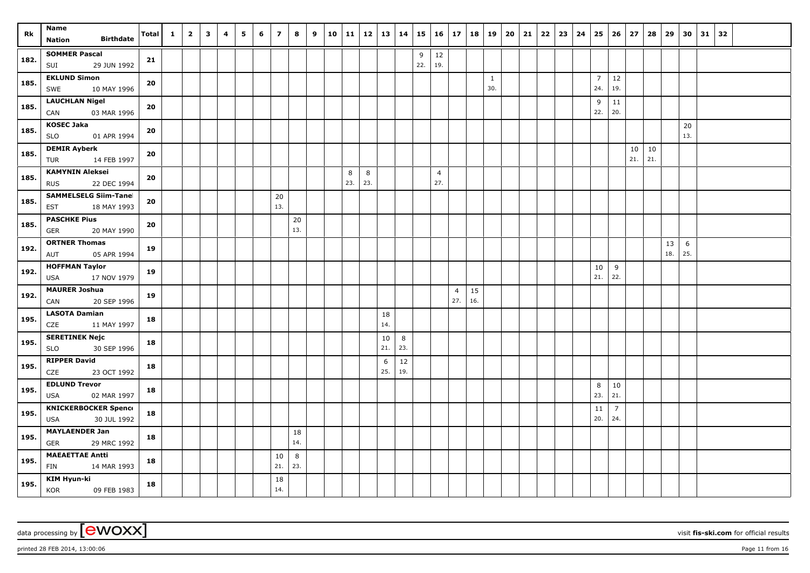| Rk   | Name                                                | Total | $\mathbf{1}$ | $\overline{2}$ | $\overline{\mathbf{3}}$ | 4 | 5 | 6 | $\overline{z}$ | 8   | 9 | 10 |          | 11 12    |           |          | 13   14   15   16   17 |                       |                | 18 19 |          | 20 | 21 | $22 \mid 23$ | 24 | 25       | 26             | 27  | 28  | 29  | 30  | 31 | 32 |  |
|------|-----------------------------------------------------|-------|--------------|----------------|-------------------------|---|---|---|----------------|-----|---|----|----------|----------|-----------|----------|------------------------|-----------------------|----------------|-------|----------|----|----|--------------|----|----------|----------------|-----|-----|-----|-----|----|----|--|
|      | <b>Birthdate</b><br><b>Nation</b>                   |       |              |                |                         |   |   |   |                |     |   |    |          |          |           |          |                        |                       |                |       |          |    |    |              |    |          |                |     |     |     |     |    |    |  |
| 182. | <b>SOMMER Pascal</b>                                | 21    |              |                |                         |   |   |   |                |     |   |    |          |          |           |          | 9                      | 12                    |                |       |          |    |    |              |    |          |                |     |     |     |     |    |    |  |
|      | 29 JUN 1992<br>SUI                                  |       |              |                |                         |   |   |   |                |     |   |    |          |          |           |          | 22.                    | 19.                   |                |       |          |    |    |              |    |          |                |     |     |     |     |    |    |  |
| 185. | <b>EKLUND Simon</b><br>10 MAY 1996                  | 20    |              |                |                         |   |   |   |                |     |   |    |          |          |           |          |                        |                       |                |       | 1<br>30. |    |    |              |    | 7<br>24. | 12<br>19.      |     |     |     |     |    |    |  |
|      | SWE<br><b>LAUCHLAN Nigel</b>                        |       |              |                |                         |   |   |   |                |     |   |    |          |          |           |          |                        |                       |                |       |          |    |    |              |    |          |                |     |     |     |     |    |    |  |
| 185. | CAN<br>03 MAR 1996                                  | 20    |              |                |                         |   |   |   |                |     |   |    |          |          |           |          |                        |                       |                |       |          |    |    |              |    | 9<br>22. | 11<br>20.      |     |     |     |     |    |    |  |
|      | <b>KOSEC Jaka</b>                                   |       |              |                |                         |   |   |   |                |     |   |    |          |          |           |          |                        |                       |                |       |          |    |    |              |    |          |                |     |     |     | 20  |    |    |  |
| 185. | <b>SLO</b><br>01 APR 1994                           | 20    |              |                |                         |   |   |   |                |     |   |    |          |          |           |          |                        |                       |                |       |          |    |    |              |    |          |                |     |     |     | 13. |    |    |  |
| 185. | <b>DEMIR Ayberk</b>                                 | 20    |              |                |                         |   |   |   |                |     |   |    |          |          |           |          |                        |                       |                |       |          |    |    |              |    |          |                | 10  | 10  |     |     |    |    |  |
|      | 14 FEB 1997<br>TUR                                  |       |              |                |                         |   |   |   |                |     |   |    |          |          |           |          |                        |                       |                |       |          |    |    |              |    |          |                | 21. | 21. |     |     |    |    |  |
| 185. | <b>KAMYNIN Aleksei</b><br>22 DEC 1994<br><b>RUS</b> | 20    |              |                |                         |   |   |   |                |     |   |    | 8<br>23. | 8<br>23. |           |          |                        | $\overline{4}$<br>27. |                |       |          |    |    |              |    |          |                |     |     |     |     |    |    |  |
|      | <b>SAMMELSELG Siim-Tanel</b>                        |       |              |                |                         |   |   |   | 20             |     |   |    |          |          |           |          |                        |                       |                |       |          |    |    |              |    |          |                |     |     |     |     |    |    |  |
| 185. | 18 MAY 1993<br><b>EST</b>                           | 20    |              |                |                         |   |   |   | 13.            |     |   |    |          |          |           |          |                        |                       |                |       |          |    |    |              |    |          |                |     |     |     |     |    |    |  |
|      | <b>PASCHKE Pius</b>                                 |       |              |                |                         |   |   |   |                | 20  |   |    |          |          |           |          |                        |                       |                |       |          |    |    |              |    |          |                |     |     |     |     |    |    |  |
| 185. | 20 MAY 1990<br><b>GER</b>                           | 20    |              |                |                         |   |   |   |                | 13. |   |    |          |          |           |          |                        |                       |                |       |          |    |    |              |    |          |                |     |     |     |     |    |    |  |
| 192. | <b>ORTNER Thomas</b>                                | 19    |              |                |                         |   |   |   |                |     |   |    |          |          |           |          |                        |                       |                |       |          |    |    |              |    |          |                |     |     | 13  | 6   |    |    |  |
|      | 05 APR 1994<br>AUT                                  |       |              |                |                         |   |   |   |                |     |   |    |          |          |           |          |                        |                       |                |       |          |    |    |              |    |          |                |     |     | 18. | 25. |    |    |  |
| 192. | <b>HOFFMAN Taylor</b>                               | 19    |              |                |                         |   |   |   |                |     |   |    |          |          |           |          |                        |                       |                |       |          |    |    |              |    | 10       | 9              |     |     |     |     |    |    |  |
|      | <b>USA</b><br>17 NOV 1979                           |       |              |                |                         |   |   |   |                |     |   |    |          |          |           |          |                        |                       |                |       |          |    |    |              |    | 21.      | 22.            |     |     |     |     |    |    |  |
| 192. | <b>MAURER Joshua</b>                                | 19    |              |                |                         |   |   |   |                |     |   |    |          |          |           |          |                        |                       | $\overline{4}$ | 15    |          |    |    |              |    |          |                |     |     |     |     |    |    |  |
|      | 20 SEP 1996<br>CAN                                  |       |              |                |                         |   |   |   |                |     |   |    |          |          |           |          |                        |                       | 27.            | 16.   |          |    |    |              |    |          |                |     |     |     |     |    |    |  |
| 195. | <b>LASOTA Damian</b>                                | 18    |              |                |                         |   |   |   |                |     |   |    |          |          | 18<br>14. |          |                        |                       |                |       |          |    |    |              |    |          |                |     |     |     |     |    |    |  |
|      | CZE<br>11 MAY 1997                                  |       |              |                |                         |   |   |   |                |     |   |    |          |          |           |          |                        |                       |                |       |          |    |    |              |    |          |                |     |     |     |     |    |    |  |
| 195. | <b>SERETINEK Nejc</b><br>30 SEP 1996<br><b>SLO</b>  | 18    |              |                |                         |   |   |   |                |     |   |    |          |          | 10<br>21. | 8<br>23. |                        |                       |                |       |          |    |    |              |    |          |                |     |     |     |     |    |    |  |
| 195. | <b>RIPPER David</b>                                 | 18    |              |                |                         |   |   |   |                |     |   |    |          |          | 6         | 12       |                        |                       |                |       |          |    |    |              |    |          |                |     |     |     |     |    |    |  |
|      | 23 OCT 1992<br>CZE                                  |       |              |                |                         |   |   |   |                |     |   |    |          |          | 25.       | 19.      |                        |                       |                |       |          |    |    |              |    |          |                |     |     |     |     |    |    |  |
| 195. | <b>EDLUND Trevor</b>                                | 18    |              |                |                         |   |   |   |                |     |   |    |          |          |           |          |                        |                       |                |       |          |    |    |              |    | 8        | 10             |     |     |     |     |    |    |  |
|      | 02 MAR 1997<br><b>USA</b>                           |       |              |                |                         |   |   |   |                |     |   |    |          |          |           |          |                        |                       |                |       |          |    |    |              |    | 23.      | 21.            |     |     |     |     |    |    |  |
| 195. | <b>KNICKERBOCKER Spence</b>                         | 18    |              |                |                         |   |   |   |                |     |   |    |          |          |           |          |                        |                       |                |       |          |    |    |              |    | 11       | $\overline{7}$ |     |     |     |     |    |    |  |
|      | 30 JUL 1992<br>USA                                  |       |              |                |                         |   |   |   |                |     |   |    |          |          |           |          |                        |                       |                |       |          |    |    |              |    | 20.      | 24.            |     |     |     |     |    |    |  |
| 195. | <b>MAYLAENDER Jan</b>                               | 18    |              |                |                         |   |   |   |                | 18  |   |    |          |          |           |          |                        |                       |                |       |          |    |    |              |    |          |                |     |     |     |     |    |    |  |
|      | 29 MRC 1992<br><b>GER</b>                           |       |              |                |                         |   |   |   |                | 14. |   |    |          |          |           |          |                        |                       |                |       |          |    |    |              |    |          |                |     |     |     |     |    |    |  |
| 195. | <b>MAEAETTAE Antti</b>                              | 18    |              |                |                         |   |   |   | 10<br>21.      | 8   |   |    |          |          |           |          |                        |                       |                |       |          |    |    |              |    |          |                |     |     |     |     |    |    |  |
|      | 14 MAR 1993<br><b>FIN</b>                           |       |              |                |                         |   |   |   |                | 23. |   |    |          |          |           |          |                        |                       |                |       |          |    |    |              |    |          |                |     |     |     |     |    |    |  |
| 195. | KIM Hyun-ki<br>KOR<br>09 FEB 1983                   | 18    |              |                |                         |   |   |   | 18<br>14.      |     |   |    |          |          |           |          |                        |                       |                |       |          |    |    |              |    |          |                |     |     |     |     |    |    |  |

printed 28 FEB 2014, 13:00:06 Page 11 from 16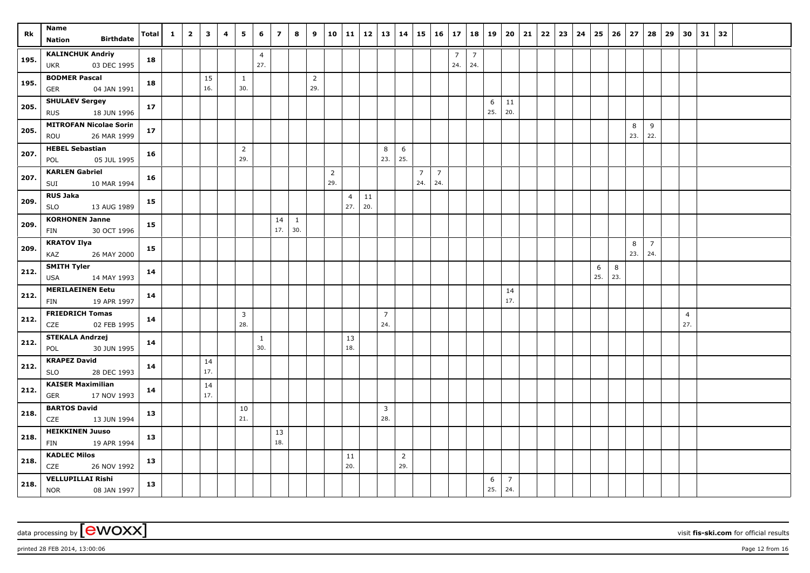|      | Name                                                  |       | $\mathbf{1}$ | $\overline{2}$ | $\overline{\mathbf{3}}$ | 4 | 5                     | 6                     | $\overline{7}$ | 8                   | 9                     | 10                    | $11 \mid 12$ |           | 13                    |                       | $14$   15   16        |                       | 17                    | $18$ 19               |          | 20                    | $21 \mid 22 \mid 23$ | 24 | 25       | 26       | 27       | 28                    | 29 | 30                    | 31 | 32 |  |
|------|-------------------------------------------------------|-------|--------------|----------------|-------------------------|---|-----------------------|-----------------------|----------------|---------------------|-----------------------|-----------------------|--------------|-----------|-----------------------|-----------------------|-----------------------|-----------------------|-----------------------|-----------------------|----------|-----------------------|----------------------|----|----------|----------|----------|-----------------------|----|-----------------------|----|----|--|
| Rk   | <b>Birthdate</b><br><b>Nation</b>                     | Total |              |                |                         |   |                       |                       |                |                     |                       |                       |              |           |                       |                       |                       |                       |                       |                       |          |                       |                      |    |          |          |          |                       |    |                       |    |    |  |
| 195. | <b>KALINCHUK Andriy</b><br>03 DEC 1995<br><b>UKR</b>  | 18    |              |                |                         |   |                       | $\overline{4}$<br>27. |                |                     |                       |                       |              |           |                       |                       |                       |                       | $\overline{7}$<br>24. | $\overline{7}$<br>24. |          |                       |                      |    |          |          |          |                       |    |                       |    |    |  |
| 195. | <b>BODMER Pascal</b><br>GER<br>04 JAN 1991            | 18    |              |                | 15<br>16.               |   | 1<br>30.              |                       |                |                     | $\overline{2}$<br>29. |                       |              |           |                       |                       |                       |                       |                       |                       |          |                       |                      |    |          |          |          |                       |    |                       |    |    |  |
| 205. | <b>SHULAEV Sergey</b><br>18 JUN 1996<br><b>RUS</b>    | 17    |              |                |                         |   |                       |                       |                |                     |                       |                       |              |           |                       |                       |                       |                       |                       |                       | 6<br>25. | 11<br>20.             |                      |    |          |          |          |                       |    |                       |    |    |  |
| 205. | <b>MITROFAN Nicolae Sorin</b><br>ROU<br>26 MAR 1999   | 17    |              |                |                         |   |                       |                       |                |                     |                       |                       |              |           |                       |                       |                       |                       |                       |                       |          |                       |                      |    |          |          | 8<br>23. | 9<br>22.              |    |                       |    |    |  |
| 207. | <b>HEBEL Sebastian</b><br>05 JUL 1995<br>POL          | 16    |              |                |                         |   | $\overline{2}$<br>29. |                       |                |                     |                       |                       |              |           | 8<br>23.              | 6<br>25.              |                       |                       |                       |                       |          |                       |                      |    |          |          |          |                       |    |                       |    |    |  |
| 207. | <b>KARLEN Gabriel</b><br>10 MAR 1994<br>SUI           | 16    |              |                |                         |   |                       |                       |                |                     |                       | $\overline{2}$<br>29. |              |           |                       |                       | $\overline{7}$<br>24. | $\overline{7}$<br>24. |                       |                       |          |                       |                      |    |          |          |          |                       |    |                       |    |    |  |
| 209. | <b>RUS Jaka</b><br><b>SLO</b><br>13 AUG 1989          | 15    |              |                |                         |   |                       |                       |                |                     |                       |                       | 4<br>27.     | 11<br>20. |                       |                       |                       |                       |                       |                       |          |                       |                      |    |          |          |          |                       |    |                       |    |    |  |
| 209. | <b>KORHONEN Janne</b><br>30 OCT 1996<br>FIN           | 15    |              |                |                         |   |                       |                       | 14<br>17.      | $\mathbf{1}$<br>30. |                       |                       |              |           |                       |                       |                       |                       |                       |                       |          |                       |                      |    |          |          |          |                       |    |                       |    |    |  |
| 209. | <b>KRATOV Ilya</b><br>KAZ<br>26 MAY 2000              | 15    |              |                |                         |   |                       |                       |                |                     |                       |                       |              |           |                       |                       |                       |                       |                       |                       |          |                       |                      |    |          |          | 8<br>23. | $\overline{7}$<br>24. |    |                       |    |    |  |
| 212. | <b>SMITH Tyler</b><br>14 MAY 1993<br>USA              | 14    |              |                |                         |   |                       |                       |                |                     |                       |                       |              |           |                       |                       |                       |                       |                       |                       |          |                       |                      |    | 6<br>25. | 8<br>23. |          |                       |    |                       |    |    |  |
| 212. | <b>MERILAEINEN Eetu</b><br>19 APR 1997<br><b>FIN</b>  | 14    |              |                |                         |   |                       |                       |                |                     |                       |                       |              |           |                       |                       |                       |                       |                       |                       |          | 14<br>17.             |                      |    |          |          |          |                       |    |                       |    |    |  |
| 212. | <b>FRIEDRICH Tomas</b><br>CZE<br>02 FEB 1995          | 14    |              |                |                         |   | $\overline{3}$<br>28. |                       |                |                     |                       |                       |              |           | $\overline{7}$<br>24. |                       |                       |                       |                       |                       |          |                       |                      |    |          |          |          |                       |    | $\overline{4}$<br>27. |    |    |  |
| 212. | <b>STEKALA Andrzej</b><br>POL<br>30 JUN 1995          | 14    |              |                |                         |   |                       | $\mathbf{1}$<br>30.   |                |                     |                       |                       | 13<br>18.    |           |                       |                       |                       |                       |                       |                       |          |                       |                      |    |          |          |          |                       |    |                       |    |    |  |
| 212. | <b>KRAPEZ David</b><br>28 DEC 1993<br><b>SLO</b>      | 14    |              |                | 14<br>17.               |   |                       |                       |                |                     |                       |                       |              |           |                       |                       |                       |                       |                       |                       |          |                       |                      |    |          |          |          |                       |    |                       |    |    |  |
| 212. | <b>KAISER Maximilian</b><br>17 NOV 1993<br>GER        | 14    |              |                | 14<br>17.               |   |                       |                       |                |                     |                       |                       |              |           |                       |                       |                       |                       |                       |                       |          |                       |                      |    |          |          |          |                       |    |                       |    |    |  |
| 218. | <b>BARTOS David</b><br>CZE<br>13 JUN 1994             | 13    |              |                |                         |   | 10<br>21.             |                       |                |                     |                       |                       |              |           | $\overline{3}$<br>28. |                       |                       |                       |                       |                       |          |                       |                      |    |          |          |          |                       |    |                       |    |    |  |
| 218. | <b>HEIKKINEN Juuso</b><br>19 APR 1994<br><b>FIN</b>   | 13    |              |                |                         |   |                       |                       | 13<br>18.      |                     |                       |                       |              |           |                       |                       |                       |                       |                       |                       |          |                       |                      |    |          |          |          |                       |    |                       |    |    |  |
| 218. | <b>KADLEC Milos</b><br>CZE<br>26 NOV 1992             | 13    |              |                |                         |   |                       |                       |                |                     |                       |                       | 11<br>20.    |           |                       | $\overline{2}$<br>29. |                       |                       |                       |                       |          |                       |                      |    |          |          |          |                       |    |                       |    |    |  |
| 218. | <b>VELLUPILLAI Rishi</b><br><b>NOR</b><br>08 JAN 1997 | 13    |              |                |                         |   |                       |                       |                |                     |                       |                       |              |           |                       |                       |                       |                       |                       |                       | 6<br>25. | $\overline{7}$<br>24. |                      |    |          |          |          |                       |    |                       |    |    |  |

printed 28 FEB 2014, 13:00:06 Page 12 from 16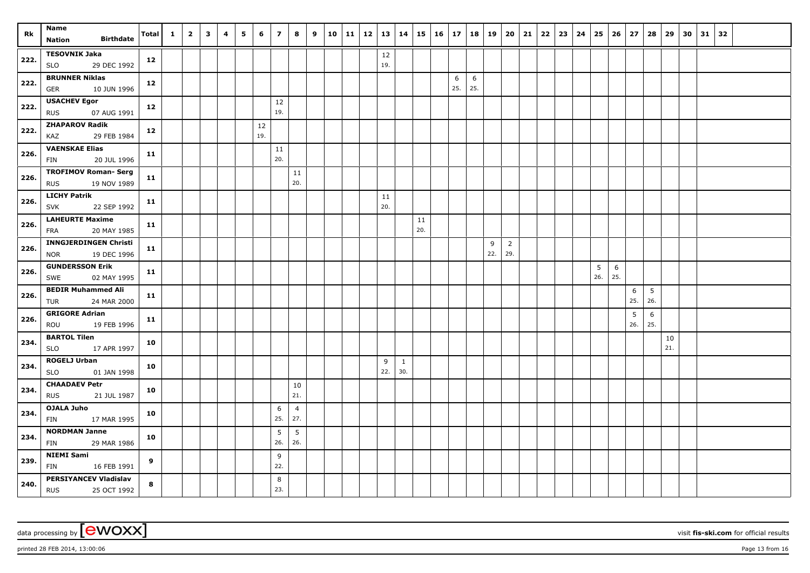| Rk   | Name                                                      | <b>Total</b> | $\mathbf{1}$ | $\overline{2}$ | $\overline{\mathbf{3}}$ | 4 | 5 | 6         | $\overline{z}$ | 8                     | 9 | 10 | $11 \mid 12 \mid$ |               |                     |           | $13 \mid 14 \mid 15 \mid 16 \mid 17$ |          | 18 19    |          | 20                    | 21 | $22 \mid 23$ | 24 | 25       | 26       | 27       | 28       | 29        | 30 | 31 | 32 |  |  |
|------|-----------------------------------------------------------|--------------|--------------|----------------|-------------------------|---|---|-----------|----------------|-----------------------|---|----|-------------------|---------------|---------------------|-----------|--------------------------------------|----------|----------|----------|-----------------------|----|--------------|----|----------|----------|----------|----------|-----------|----|----|----|--|--|
|      | <b>Birthdate</b><br><b>Nation</b>                         |              |              |                |                         |   |   |           |                |                       |   |    |                   |               |                     |           |                                      |          |          |          |                       |    |              |    |          |          |          |          |           |    |    |    |  |  |
| 222. | <b>TESOVNIK Jaka</b><br><b>SLO</b><br>29 DEC 1992         | 12           |              |                |                         |   |   |           |                |                       |   |    |                   | $12\,$<br>19. |                     |           |                                      |          |          |          |                       |    |              |    |          |          |          |          |           |    |    |    |  |  |
| 222. | <b>BRUNNER Niklas</b><br>10 JUN 1996<br>GER               | 12           |              |                |                         |   |   |           |                |                       |   |    |                   |               |                     |           |                                      | 6<br>25. | 6<br>25. |          |                       |    |              |    |          |          |          |          |           |    |    |    |  |  |
| 222. | <b>USACHEV Egor</b><br>07 AUG 1991<br><b>RUS</b>          | 12           |              |                |                         |   |   |           | 12<br>19.      |                       |   |    |                   |               |                     |           |                                      |          |          |          |                       |    |              |    |          |          |          |          |           |    |    |    |  |  |
| 222. | <b>ZHAPAROV Radik</b><br>KAZ<br>29 FEB 1984               | 12           |              |                |                         |   |   | 12<br>19. |                |                       |   |    |                   |               |                     |           |                                      |          |          |          |                       |    |              |    |          |          |          |          |           |    |    |    |  |  |
| 226. | <b>VAENSKAE Elias</b><br>FIN<br>20 JUL 1996               | 11           |              |                |                         |   |   |           | 11<br>20.      |                       |   |    |                   |               |                     |           |                                      |          |          |          |                       |    |              |    |          |          |          |          |           |    |    |    |  |  |
| 226. | <b>TROFIMOV Roman- Serg</b><br>19 NOV 1989<br><b>RUS</b>  | 11           |              |                |                         |   |   |           |                | 11<br>20.             |   |    |                   |               |                     |           |                                      |          |          |          |                       |    |              |    |          |          |          |          |           |    |    |    |  |  |
| 226. | <b>LICHY Patrik</b><br>22 SEP 1992<br><b>SVK</b>          | 11           |              |                |                         |   |   |           |                |                       |   |    |                   | 11<br>20.     |                     |           |                                      |          |          |          |                       |    |              |    |          |          |          |          |           |    |    |    |  |  |
| 226. | <b>LAHEURTE Maxime</b><br>FRA<br>20 MAY 1985              | 11           |              |                |                         |   |   |           |                |                       |   |    |                   |               |                     | 11<br>20. |                                      |          |          |          |                       |    |              |    |          |          |          |          |           |    |    |    |  |  |
| 226. | <b>INNGJERDINGEN Christi</b><br><b>NOR</b><br>19 DEC 1996 | 11           |              |                |                         |   |   |           |                |                       |   |    |                   |               |                     |           |                                      |          |          | 9<br>22. | $\overline{2}$<br>29. |    |              |    |          |          |          |          |           |    |    |    |  |  |
| 226. | <b>GUNDERSSON Erik</b><br>02 MAY 1995<br>SWE              | 11           |              |                |                         |   |   |           |                |                       |   |    |                   |               |                     |           |                                      |          |          |          |                       |    |              |    | 5<br>26. | 6<br>25. |          |          |           |    |    |    |  |  |
| 226. | <b>BEDIR Muhammed Ali</b><br>24 MAR 2000<br>TUR           | 11           |              |                |                         |   |   |           |                |                       |   |    |                   |               |                     |           |                                      |          |          |          |                       |    |              |    |          |          | 6<br>25. | 5<br>26. |           |    |    |    |  |  |
| 226. | <b>GRIGORE Adrian</b><br>ROU<br>19 FEB 1996               | 11           |              |                |                         |   |   |           |                |                       |   |    |                   |               |                     |           |                                      |          |          |          |                       |    |              |    |          |          | 5<br>26. | 6<br>25. |           |    |    |    |  |  |
| 234. | <b>BARTOL Tilen</b><br>17 APR 1997<br><b>SLO</b>          | 10           |              |                |                         |   |   |           |                |                       |   |    |                   |               |                     |           |                                      |          |          |          |                       |    |              |    |          |          |          |          | 10<br>21. |    |    |    |  |  |
| 234. | <b>ROGELJ Urban</b><br><b>SLO</b><br>01 JAN 1998          | 10           |              |                |                         |   |   |           |                |                       |   |    |                   | 9<br>22.      | $\mathbf{1}$<br>30. |           |                                      |          |          |          |                       |    |              |    |          |          |          |          |           |    |    |    |  |  |
| 234. | <b>CHAADAEV Petr</b><br><b>RUS</b><br>21 JUL 1987         | 10           |              |                |                         |   |   |           |                | 10<br>21.             |   |    |                   |               |                     |           |                                      |          |          |          |                       |    |              |    |          |          |          |          |           |    |    |    |  |  |
| 234. | <b>OJALA Juho</b><br>FIN<br>17 MAR 1995                   | 10           |              |                |                         |   |   |           | 6<br>25.       | $\overline{4}$<br>27. |   |    |                   |               |                     |           |                                      |          |          |          |                       |    |              |    |          |          |          |          |           |    |    |    |  |  |
| 234. | <b>NORDMAN Janne</b><br>29 MAR 1986<br>FIN                | 10           |              |                |                         |   |   |           | 5<br>26.       | 5<br>26.              |   |    |                   |               |                     |           |                                      |          |          |          |                       |    |              |    |          |          |          |          |           |    |    |    |  |  |
| 239. | <b>NIEMI Sami</b><br><b>FIN</b><br>16 FEB 1991            | 9            |              |                |                         |   |   |           | 9<br>22.       |                       |   |    |                   |               |                     |           |                                      |          |          |          |                       |    |              |    |          |          |          |          |           |    |    |    |  |  |
| 240. | <b>PERSIYANCEV Vladislav</b><br><b>RUS</b><br>25 OCT 1992 | 8            |              |                |                         |   |   |           | 8<br>23.       |                       |   |    |                   |               |                     |           |                                      |          |          |          |                       |    |              |    |          |          |          |          |           |    |    |    |  |  |

printed 28 FEB 2014, 13:00:06 Page 13 from 16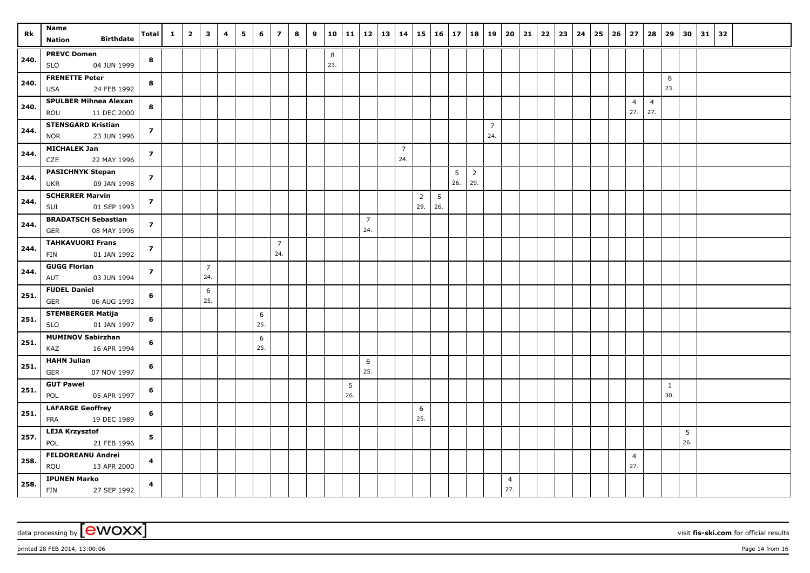| Rk   | Name                                                   | <b>Total</b>            | $\mathbf{1}$ | $\overline{2}$ | $\mathbf{3}$          | 4 | 5 | 6        | $\overline{z}$        | 8 | 9 | 10       | 11 12    |                       | 13   14 |                       |                       | $15 \mid 16 \mid 17$ |          | 18 19                 |                       | 20                    | 21 | 22 | 23 | 24 | 25 | 26 | 27                    | 28                    | 29                  | 30       | 31 | 32 |  |
|------|--------------------------------------------------------|-------------------------|--------------|----------------|-----------------------|---|---|----------|-----------------------|---|---|----------|----------|-----------------------|---------|-----------------------|-----------------------|----------------------|----------|-----------------------|-----------------------|-----------------------|----|----|----|----|----|----|-----------------------|-----------------------|---------------------|----------|----|----|--|
|      | <b>Birthdate</b><br><b>Nation</b>                      |                         |              |                |                       |   |   |          |                       |   |   |          |          |                       |         |                       |                       |                      |          |                       |                       |                       |    |    |    |    |    |    |                       |                       |                     |          |    |    |  |
| 240. | <b>PREVC Domen</b><br><b>SLO</b><br>04 JUN 1999        | 8                       |              |                |                       |   |   |          |                       |   |   | 8<br>23. |          |                       |         |                       |                       |                      |          |                       |                       |                       |    |    |    |    |    |    |                       |                       |                     |          |    |    |  |
| 240. | <b>FRENETTE Peter</b><br>24 FEB 1992<br><b>USA</b>     | 8                       |              |                |                       |   |   |          |                       |   |   |          |          |                       |         |                       |                       |                      |          |                       |                       |                       |    |    |    |    |    |    |                       |                       | 8<br>23.            |          |    |    |  |
| 240. | <b>SPULBER Mihnea Alexan</b><br>11 DEC 2000<br>ROU     | 8                       |              |                |                       |   |   |          |                       |   |   |          |          |                       |         |                       |                       |                      |          |                       |                       |                       |    |    |    |    |    |    | $\overline{4}$<br>27. | $\overline{4}$<br>27. |                     |          |    |    |  |
| 244. | <b>STENSGARD Kristian</b><br>23 JUN 1996<br><b>NOR</b> | $\overline{z}$          |              |                |                       |   |   |          |                       |   |   |          |          |                       |         |                       |                       |                      |          |                       | $\overline{7}$<br>24. |                       |    |    |    |    |    |    |                       |                       |                     |          |    |    |  |
| 244. | <b>MICHALEK Jan</b><br>CZE<br>22 MAY 1996              | $\overline{\mathbf{z}}$ |              |                |                       |   |   |          |                       |   |   |          |          |                       |         | $\overline{7}$<br>24. |                       |                      |          |                       |                       |                       |    |    |    |    |    |    |                       |                       |                     |          |    |    |  |
| 244. | <b>PASICHNYK Stepan</b><br>09 JAN 1998<br><b>UKR</b>   | $\overline{z}$          |              |                |                       |   |   |          |                       |   |   |          |          |                       |         |                       |                       |                      | 5<br>26. | $\overline{2}$<br>29. |                       |                       |    |    |    |    |    |    |                       |                       |                     |          |    |    |  |
| 244. | <b>SCHERRER Marvin</b><br>01 SEP 1993<br>SUI           | $\overline{\mathbf{z}}$ |              |                |                       |   |   |          |                       |   |   |          |          |                       |         |                       | $\overline{2}$<br>29. | 5<br>26.             |          |                       |                       |                       |    |    |    |    |    |    |                       |                       |                     |          |    |    |  |
| 244. | <b>BRADATSCH Sebastian</b><br>GER<br>08 MAY 1996       | $\overline{z}$          |              |                |                       |   |   |          |                       |   |   |          |          | $\overline{7}$<br>24. |         |                       |                       |                      |          |                       |                       |                       |    |    |    |    |    |    |                       |                       |                     |          |    |    |  |
| 244. | <b>TAHKAVUORI Frans</b><br>FIN<br>01 JAN 1992          | $\overline{\mathbf{z}}$ |              |                |                       |   |   |          | $\overline{7}$<br>24. |   |   |          |          |                       |         |                       |                       |                      |          |                       |                       |                       |    |    |    |    |    |    |                       |                       |                     |          |    |    |  |
| 244. | <b>GUGG Florian</b><br>03 JUN 1994<br>AUT              | $\overline{z}$          |              |                | $\overline{7}$<br>24. |   |   |          |                       |   |   |          |          |                       |         |                       |                       |                      |          |                       |                       |                       |    |    |    |    |    |    |                       |                       |                     |          |    |    |  |
| 251. | <b>FUDEL Daniel</b><br>06 AUG 1993<br>GER              | 6                       |              |                | 6<br>25.              |   |   |          |                       |   |   |          |          |                       |         |                       |                       |                      |          |                       |                       |                       |    |    |    |    |    |    |                       |                       |                     |          |    |    |  |
| 251. | <b>STEMBERGER Matija</b><br><b>SLO</b><br>01 JAN 1997  | 6                       |              |                |                       |   |   | 6<br>25. |                       |   |   |          |          |                       |         |                       |                       |                      |          |                       |                       |                       |    |    |    |    |    |    |                       |                       |                     |          |    |    |  |
| 251. | <b>MUMINOV Sabirzhan</b><br>KAZ<br>16 APR 1994         | 6                       |              |                |                       |   |   | 6<br>25. |                       |   |   |          |          |                       |         |                       |                       |                      |          |                       |                       |                       |    |    |    |    |    |    |                       |                       |                     |          |    |    |  |
| 251. | <b>HAHN Julian</b><br>07 NOV 1997<br>GER               | 6                       |              |                |                       |   |   |          |                       |   |   |          |          | 6<br>25.              |         |                       |                       |                      |          |                       |                       |                       |    |    |    |    |    |    |                       |                       |                     |          |    |    |  |
| 251. | <b>GUT Pawel</b><br>05 APR 1997<br>POL                 | 6                       |              |                |                       |   |   |          |                       |   |   |          | 5<br>26. |                       |         |                       |                       |                      |          |                       |                       |                       |    |    |    |    |    |    |                       |                       | $\mathbf{1}$<br>30. |          |    |    |  |
| 251. | <b>LAFARGE Geoffrey</b><br>19 DEC 1989<br>FRA          | 6                       |              |                |                       |   |   |          |                       |   |   |          |          |                       |         |                       | 6<br>25.              |                      |          |                       |                       |                       |    |    |    |    |    |    |                       |                       |                     |          |    |    |  |
| 257. | <b>LEJA Krzysztof</b><br>21 FEB 1996<br>POL            | 5                       |              |                |                       |   |   |          |                       |   |   |          |          |                       |         |                       |                       |                      |          |                       |                       |                       |    |    |    |    |    |    |                       |                       |                     | 5<br>26. |    |    |  |
| 258. | <b>FELDOREANU Andrei</b><br>13 APR 2000<br>ROU         | $\overline{\mathbf{4}}$ |              |                |                       |   |   |          |                       |   |   |          |          |                       |         |                       |                       |                      |          |                       |                       |                       |    |    |    |    |    |    | $\overline{4}$<br>27. |                       |                     |          |    |    |  |
| 258. | <b>IPUNEN Marko</b><br>FIN<br>27 SEP 1992              | $\overline{\mathbf{4}}$ |              |                |                       |   |   |          |                       |   |   |          |          |                       |         |                       |                       |                      |          |                       |                       | $\overline{4}$<br>27. |    |    |    |    |    |    |                       |                       |                     |          |    |    |  |

printed 28 FEB 2014, 13:00:06 Page 14 from 16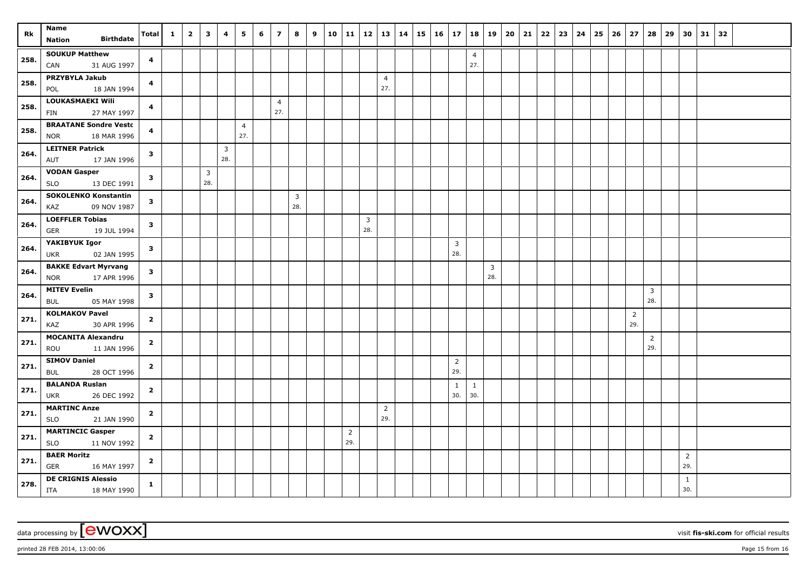|      | Name                                                      |                         | $\mathbf{1}$ | $\overline{2}$ | $\overline{\mathbf{3}}$ | 4        | 5                     | 6 | $\overline{z}$        | 8                     | 9 | 10 | 11 12                 |                       |                       | 13   14   15   16   17 |                       | 18       | 19                    | 20 | 21 | $22 \mid 23$ | 24 | 25 | 26 | 27                    | 28                    | 29 | 30                    | 31 | 32 |  |  |
|------|-----------------------------------------------------------|-------------------------|--------------|----------------|-------------------------|----------|-----------------------|---|-----------------------|-----------------------|---|----|-----------------------|-----------------------|-----------------------|------------------------|-----------------------|----------|-----------------------|----|----|--------------|----|----|----|-----------------------|-----------------------|----|-----------------------|----|----|--|--|
| Rk   | <b>Birthdate</b><br><b>Nation</b>                         | <b>Total</b>            |              |                |                         |          |                       |   |                       |                       |   |    |                       |                       |                       |                        |                       |          |                       |    |    |              |    |    |    |                       |                       |    |                       |    |    |  |  |
| 258. | <b>SOUKUP Matthew</b><br>31 AUG 1997<br>CAN               | $\overline{\mathbf{4}}$ |              |                |                         |          |                       |   |                       |                       |   |    |                       |                       |                       |                        |                       | 4<br>27. |                       |    |    |              |    |    |    |                       |                       |    |                       |    |    |  |  |
| 258. | PRZYBYLA Jakub<br>POL<br>18 JAN 1994                      | 4                       |              |                |                         |          |                       |   |                       |                       |   |    |                       |                       | $\overline{4}$<br>27. |                        |                       |          |                       |    |    |              |    |    |    |                       |                       |    |                       |    |    |  |  |
| 258. | LOUKASMAEKI Wili<br>27 MAY 1997<br>FIN                    | $\overline{\mathbf{4}}$ |              |                |                         |          |                       |   | $\overline{4}$<br>27. |                       |   |    |                       |                       |                       |                        |                       |          |                       |    |    |              |    |    |    |                       |                       |    |                       |    |    |  |  |
| 258. | <b>BRAATANE Sondre Vesto</b><br><b>NOR</b><br>18 MAR 1996 | 4                       |              |                |                         |          | $\overline{4}$<br>27. |   |                       |                       |   |    |                       |                       |                       |                        |                       |          |                       |    |    |              |    |    |    |                       |                       |    |                       |    |    |  |  |
| 264. | <b>LEITNER Patrick</b><br>AUT<br>17 JAN 1996              | $\mathbf{3}$            |              |                |                         | 3<br>28. |                       |   |                       |                       |   |    |                       |                       |                       |                        |                       |          |                       |    |    |              |    |    |    |                       |                       |    |                       |    |    |  |  |
| 264. | <b>VODAN Gasper</b><br>13 DEC 1991<br><b>SLO</b>          | 3                       |              |                | $\mathbf{3}$<br>28.     |          |                       |   |                       |                       |   |    |                       |                       |                       |                        |                       |          |                       |    |    |              |    |    |    |                       |                       |    |                       |    |    |  |  |
| 264. | <b>SOKOLENKO Konstantin</b><br>KAZ<br>09 NOV 1987         | $\mathbf{3}$            |              |                |                         |          |                       |   |                       | $\overline{3}$<br>28. |   |    |                       |                       |                       |                        |                       |          |                       |    |    |              |    |    |    |                       |                       |    |                       |    |    |  |  |
| 264. | <b>LOEFFLER Tobias</b><br>19 JUL 1994<br>GER              | $\mathbf{3}$            |              |                |                         |          |                       |   |                       |                       |   |    |                       | $\overline{3}$<br>28. |                       |                        |                       |          |                       |    |    |              |    |    |    |                       |                       |    |                       |    |    |  |  |
| 264. | YAKIBYUK Igor<br>02 JAN 1995<br>UKR                       | $\mathbf{3}$            |              |                |                         |          |                       |   |                       |                       |   |    |                       |                       |                       |                        | $\overline{3}$<br>28. |          |                       |    |    |              |    |    |    |                       |                       |    |                       |    |    |  |  |
| 264. | <b>BAKKE Edvart Myrvang</b><br>17 APR 1996<br><b>NOR</b>  | $\mathbf{3}$            |              |                |                         |          |                       |   |                       |                       |   |    |                       |                       |                       |                        |                       |          | $\overline{3}$<br>28. |    |    |              |    |    |    |                       |                       |    |                       |    |    |  |  |
| 264. | <b>MITEV Evelin</b><br>05 MAY 1998<br><b>BUL</b>          | $\mathbf{3}$            |              |                |                         |          |                       |   |                       |                       |   |    |                       |                       |                       |                        |                       |          |                       |    |    |              |    |    |    |                       | $\overline{3}$<br>28. |    |                       |    |    |  |  |
| 271. | <b>KOLMAKOV Pavel</b><br>KAZ<br>30 APR 1996               | $\overline{2}$          |              |                |                         |          |                       |   |                       |                       |   |    |                       |                       |                       |                        |                       |          |                       |    |    |              |    |    |    | $\overline{2}$<br>29. |                       |    |                       |    |    |  |  |
| 271. | <b>MOCANITA Alexandru</b><br>ROU<br>11 JAN 1996           | $\overline{2}$          |              |                |                         |          |                       |   |                       |                       |   |    |                       |                       |                       |                        |                       |          |                       |    |    |              |    |    |    |                       | $\overline{2}$<br>29. |    |                       |    |    |  |  |
| 271. | <b>SIMOV Daniel</b><br><b>BUL</b><br>28 OCT 1996          | $\overline{2}$          |              |                |                         |          |                       |   |                       |                       |   |    |                       |                       |                       |                        | $\overline{2}$<br>29. |          |                       |    |    |              |    |    |    |                       |                       |    |                       |    |    |  |  |
| 271. | <b>BALANDA Ruslan</b><br>26 DEC 1992<br><b>UKR</b>        | $\mathbf{2}$            |              |                |                         |          |                       |   |                       |                       |   |    |                       |                       |                       |                        | $\mathbf{1}$<br>30.   | 1<br>30. |                       |    |    |              |    |    |    |                       |                       |    |                       |    |    |  |  |
| 271. | <b>MARTINC Anze</b><br><b>SLO</b><br>21 JAN 1990          | $\overline{2}$          |              |                |                         |          |                       |   |                       |                       |   |    |                       |                       | $\overline{2}$<br>29. |                        |                       |          |                       |    |    |              |    |    |    |                       |                       |    |                       |    |    |  |  |
| 271. | <b>MARTINCIC Gasper</b><br>11 NOV 1992<br><b>SLO</b>      | $\mathbf{2}$            |              |                |                         |          |                       |   |                       |                       |   |    | $\overline{2}$<br>29. |                       |                       |                        |                       |          |                       |    |    |              |    |    |    |                       |                       |    |                       |    |    |  |  |
| 271. | <b>BAER Moritz</b><br><b>GER</b><br>16 MAY 1997           | $\overline{2}$          |              |                |                         |          |                       |   |                       |                       |   |    |                       |                       |                       |                        |                       |          |                       |    |    |              |    |    |    |                       |                       |    | $\overline{2}$<br>29. |    |    |  |  |
| 278. | <b>DE CRIGNIS Alessio</b><br>18 MAY 1990<br>ITA           | $\mathbf{1}$            |              |                |                         |          |                       |   |                       |                       |   |    |                       |                       |                       |                        |                       |          |                       |    |    |              |    |    |    |                       |                       |    | $\mathbf{1}$<br>30.   |    |    |  |  |

printed 28 FEB 2014, 13:00:06 Page 15 from 16